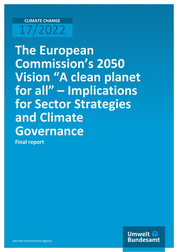# **CLIMATE CHANGE** 17/2022

**The European Commission's 2050 Vision "A clean planet for all" – Implications for Sector Strategies and Climate Governance**

**Final report**

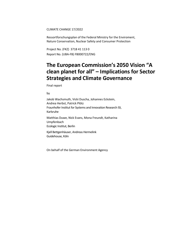#### CLIMATE CHANGE 17/2022

Ressortforschungsplan of the Federal Ministry for the Enviroment, Nature Conservation, Nuclear Safety and Consumer Protection

Project No. (FKZ) 3718 41 113 0 Report No. (UBA-FB) FB000722/ENG

## **The European Commission's 2050 Vision "A clean planet for all" – Implications for Sector Strategies and Climate Governance**

Final report

by

Jakob Wachsmuth, Vicki Duscha, Johannes Eckstein, Andrea Herbst, Patrick Plötz Fraunhofer Institut for Systems and Innovation Research ISI, Karlsruhe

Matthias Duwe, Nick Evans, Mona Freundt, Katharina Umpfenbach Ecologic Institut, Berlin

Kjell Bettgenhäuser, Andreas Hermelink Guidehouse, Köln

On behalf of the German Environment Agency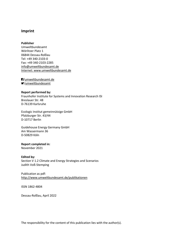#### **Imprint**

#### **Publisher**

Umweltbundesamt Wörlitzer Platz 1 06844 Dessau-Roßlau Tel: +49 340-2103-0 Fax: +49 340-2103-2285 [info@umweltbundesamt.de](mailto:info@umweltbundesamt.de) Internet: www.umweltbundesamt.de

/umweltbundesamt.de /umweltbundesamt

#### **Report performed by:**

Fraunhofer Institute for Systems and Innovation Research ISI Breslauer Str. 48 D-76139 Karlsruhe

Ecologic Institut gemeinnützige GmbH Pfalzburger Str. 43/44 D-10717 Berlin

Guidehouse Energy Germany GmbH Am Wassermann 36 D-50829 Köln

#### **Report completed in:**

November 2021

#### **Edited by:**

Section V 1.2 Climate and Energy Strategies and Scenarios Judith Voß-Stemping

Publication as pdf: <http://www.umweltbundesamt.de/publikationen>

ISSN 1862-4804

Dessau-Roßlau, April 2022

The responsibility for the content of this publication lies with the author(s).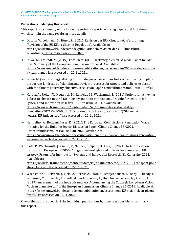#### **Publications underlying this report**

This report is a summary of the following series of reports, working papers and fact sheets, which contain the same results in more detail:

- ► Duscha, V.; Lehmann, S.; Ittner, S. (2021): Revision der EU-Klimaschutz-Verordnung [Revision of the EU Effort-Sharing-Regulation]. Available at: https://www.umweltbundesamt.de/publikationen/revision-der-eu-klimaschutzverordnung, last accessed on 22.11.2021.
- ► Duwe, M., Freundt, M. (2019): Fact Sheet: EU 2050 strategic vision "A Clean Planet for All". Brief Summary of the European Commission proposal. Available at: [https://www.umweltbundesamt.de/en/publikationen/fact-sheet-eu-2050-strategic-vision](https://www.umweltbundesamt.de/en/publikationen/fact-sheet-eu-2050-strategic-vision-a-clean-planet)[a-clean-planet,](https://www.umweltbundesamt.de/en/publikationen/fact-sheet-eu-2050-strategic-vision-a-clean-planet) last accessed on 22.11.2021.
- ► Duwe, M. (forthcoming): Making EU climate governance fit for Net Zero How to complete the current landscape of planning and review processes for targets and policies to align it with the climate neutrality objective. Discussion Paper. Umweltbundesamt, Dessau-Roßlau.
- ► Herbst, A., Fleiter, T., Neuwirth, M., Rehfeldt, M., Wachsmuth, J. (2021) Options for achieving a close-to climate-neutral EU industry and their implications. Fraunhofer Institute for Systems and Innovation Research ISI, Karlsruhe, 2021. Available at: [https://www.isi.fraunhofer.de/content/dam/isi/dokumente/sustainability](https://www.isi.fraunhofer.de/content/dam/isi/dokumente/sustainability-innovation/2021/WP-S-08_2021_Options_for_achieving_a_close-to%20climate-neutral_EU_industry.pdf)[innovation/2021/WP-S-08\\_2021\\_Options\\_for\\_achieving\\_a\\_close-to%20climate](https://www.isi.fraunhofer.de/content/dam/isi/dokumente/sustainability-innovation/2021/WP-S-08_2021_Options_for_achieving_a_close-to%20climate-neutral_EU_industry.pdf)[neutral\\_EU\\_industry.pdf,](https://www.isi.fraunhofer.de/content/dam/isi/dokumente/sustainability-innovation/2021/WP-S-08_2021_Options_for_achieving_a_close-to%20climate-neutral_EU_industry.pdf) last accessed on 22.11.2021.
- ► Hermelink, A., Bettgenhäuser, K. (2021): The European Commission's Renovation Wave Initiative for the Building Sector. Discussion Paper. Climate Change 53/2021. Umweltbundesamt, Dessau-Roßlau, 2021. Available at: [https://www.umweltbundesamt.de/publikationen/the-european-commissions-renovation](https://www.umweltbundesamt.de/publikationen/the-european-commissions-renovation-wave-initiative)[wave-initiative,](https://www.umweltbundesamt.de/publikationen/the-european-commissions-renovation-wave-initiative) last accessed on 22.11.2021.
- ► Plötz, P., Wachsmuth, J., Gnann, T., Neuner, F., Speth, D., Link, S. (2021): Net-zero carbon transport in Europe until 2050 - Targets, technologies and policies for a long-term EU strategy. Fraunhofer Institute for Systems and Innovation Research ISI, Karlsruhe, 2021. Available at: [https://www.isi.fraunhofer.de/content/dam/isi/dokumente/cce/2021/EU\\_Transport\\_polic](https://www.isi.fraunhofer.de/content/dam/isi/dokumente/cce/2021/EU_Transport_policybrief_long.pdf) [ybrief\\_long.pdf,](https://www.isi.fraunhofer.de/content/dam/isi/dokumente/cce/2021/EU_Transport_policybrief_long.pdf) last accessed on 22.11.2021.
- ► Wachsmuth, J., Eckstein, J., Held, A., Herbst, A., Plötz, P., Bettgenhäuser, K., Berg, T., Hardy, M., Schimmel, M., Duwe, M., Freundt, M., Frelih-Larsen, A., Hirschnitz-Garbers, M., Araujo, A. (2019): Assessment of the In-depth Analysis Accompanying the Strategic Long-term Vision "A clean planet for all" of the European Commission. Climate Change 35/2019. Available at: [https://www.umweltbundesamt.de/en/publikationen/assessment-EU-vision-clean-plaent](https://www.umweltbundesamt.de/en/publikationen/assessment-EU-vision-clean-plaent-for-all)[for-all,](https://www.umweltbundesamt.de/en/publikationen/assessment-EU-vision-clean-plaent-for-all) last accessed on 22.11.2021.

One of the authors of each of the individual publications has been responsible its summary in this report.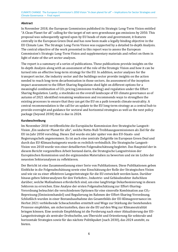#### **Abstract**

In November 2018, the European Commission published its Strategic Long-Term Vision entitled "A Clean Planet for all" calling for the target of net-zero greenhouse gas emissions by 2050. This proposal was subsequently agreed upon by EU heads of state and government, it features centrally in the European Green Deal and has now been made a legally binding objective in the EU Climate Law. The Strategic Long-Term Vision was supported by a detailed In-depth Analysis. The central objective of the work presented in this report was to assess the European Commission's Strategic Long-Term Vision and supplementary materials and reflect on them in light of state-of-the-art sector analyses.

The report is a summary of a series of publications. These publications provide insights on the In-depth Analysis along with an assessment of the role of the Strategic Vision and how it can be turned into an effective long-term strategy for the EU. In addition, sector analyses for the transport sector, the industry sector and the buildings sector provide insights on the action needed to reach long-term decarbonisation in those sectors. An assessment of the inception impact assessment to the Effort Sharing Regulation shed light on different options for a meaningful combination of  $CO<sub>2</sub>$  pricing (emissions trading) and regulation under the Effort Sharing Regulation. Lastly, a stocktake on the overall landscape of EU climate governance as of autumn of 2021 identified remaining weaknesses and recommends ways to strengthen the existing processes to ensure that they can get the EU on a path towards climate neutrality. A central recommendation is the call for an update to the EU long-term strategy as a central hub to provide oversight and guidance for sectoral and horizontal strategies as well as the next policy package (beyond 2030) that is due in 2024.

#### **Kurzbeschreibung**

Im November 2018 veröffentlichte die Europäische Kommission ihre Strategische Langzeit-Vision "Ein sauberer Planet für alle", welche Netto-Null-Treibhausgasemissionen als Ziel für die EU im Jahr 2050 vorschlug. Dieses Ziel wurde ein Jahr später von den EU-Staats- und Regierungschefs angenommen. Es ist auch eine zentrale Zielgröße im European Green Deal und durch das EU-Klimaschutzgesetz wurde es rechtlich verbindlich. Die Strategische Langzeit-Vision von 2018 wurde von einer detaillierten Folgenabschätzung begleitet. Das Hauptziel der in diesem Bericht vorgestellten Arbeit bestand darin, die Strategische Langzeitvision der Europäischen Kommission und die ergänzenden Materialien zu bewerten und sie im Lichte der neuesten Sektoranalysen zu reflektieren.

Der Bericht ist eine Zusammenfassung einer Serie von Publikationen. Diese Publikationen geben Einblicke in die Folgenabschätzung sowie eine Einschätzung der Rolle der Strategischen Vision und wie sie zu einer effektiven Langzeitstrategie für die EU entwickelt werden kann. Darüber hinaus geben Sektoranalysen für den Verkehrs-, Industrie- und Gebäudesektor Aufschluss darüber, welche Maßnahmen erforderlich sind, um eine langfristige Dekarbonisierung in diesen Sektoren zu erreichen. Eine Analyse der ersten Folgenabschätzung zur Effort-Sharing-Verordnung beleuchtet die verschiedenen Optionen für eine sinnvolle Kombination aus CO2- Bepreisung (Emissionshandel) und Regulierung im Rahmen der Effort-Sharing-Verordnung. Schließlich wurden in einer Bestandsaufnahme des Gesamtbilds der EU-Klimagovernance im Herbst 2021 verbleibende Schwachstellen ermittelt und Wege zur Stärkung der bestehenden Prozesse empfohlen, um sicherzustellen, dass sie die EU auf den Weg zur Klimaneutralität bringen können. Eine zentrale Empfehlung ist die Forderung nach einer Aktualisierung der EU-Langzeitstrategie als zentraler Drehscheibe, um Übersicht und Orientierung für sektorale und horizontale Strategien sowie für das nächste Politikpaket (nach 2030), das 2024 ansteht, zu bieten.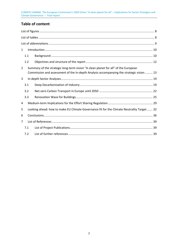## **Table of content**

| $\mathbf{1}$   |                                                                                                                                                                                |  |  |  |  |
|----------------|--------------------------------------------------------------------------------------------------------------------------------------------------------------------------------|--|--|--|--|
|                | 1.1                                                                                                                                                                            |  |  |  |  |
|                | 1.2                                                                                                                                                                            |  |  |  |  |
| $\overline{2}$ | Summary of the strategic long-term vision "A clean planet for all" of the European<br>Commission and assessment of the In-depth Analysis accompanying the strategic vision  13 |  |  |  |  |
| 3              |                                                                                                                                                                                |  |  |  |  |
|                | 3.1                                                                                                                                                                            |  |  |  |  |
|                | 3.2                                                                                                                                                                            |  |  |  |  |
|                | 3.3                                                                                                                                                                            |  |  |  |  |
| 4              |                                                                                                                                                                                |  |  |  |  |
| 5.             | Looking ahead: how to make EU Climate Governance fit for the Climate Neutrality Target 32                                                                                      |  |  |  |  |
| 6              |                                                                                                                                                                                |  |  |  |  |
| 7              |                                                                                                                                                                                |  |  |  |  |
|                | 7.1                                                                                                                                                                            |  |  |  |  |
|                | 7.2                                                                                                                                                                            |  |  |  |  |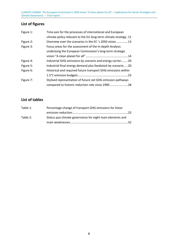## <span id="page-7-0"></span>**List of figures**

| Figure 1:                                                                | Time axis for the processes of international and European        |  |
|--------------------------------------------------------------------------|------------------------------------------------------------------|--|
|                                                                          | climate policy relevant to the EU long-term climate strategy .11 |  |
| Overview over the scenarios in the EC's 2050 vision13<br>Figure 2:       |                                                                  |  |
| Figure 3:                                                                | Focus areas for the assessment of the In-depth Analysis          |  |
|                                                                          | underlying the European Commission's long-term strategic         |  |
|                                                                          |                                                                  |  |
| Figure 4:                                                                | Industrial GHG emissions by scenario and energy carrier20        |  |
| Industrial final energy demand plus feedstock by scenario20<br>Figure 5: |                                                                  |  |
| Figure 6:                                                                | Historical and required future transport GHG emissions within    |  |
|                                                                          |                                                                  |  |
| Figure 7:                                                                | Stylised representation of future net GHG emission pathways      |  |
|                                                                          |                                                                  |  |

## <span id="page-7-1"></span>**List of tables**

| Table 1: | Percentage change of transport GHG emissions for linear   |  |
|----------|-----------------------------------------------------------|--|
|          |                                                           |  |
| Table 2: | Status quo climate governance for eight main elements and |  |
|          |                                                           |  |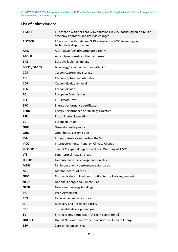### <span id="page-8-0"></span>**List of abbreviations**

| 1.5LIFE            | EC scenario with net-zero GHG emissions in 2050 focussing on a circular<br>economy approach and lifestyle changes |  |  |
|--------------------|-------------------------------------------------------------------------------------------------------------------|--|--|
| 1.5TECH            | EC scenario with net-zero GHG emissions in 2050 focussing on<br>technological approaches                          |  |  |
| <b>AFID</b>        | Alternative fuel infrastructure directive                                                                         |  |  |
| <b>AFOLU</b>       | Agriculture, forestry, other land uses                                                                            |  |  |
| <b>BAT</b>         | Best-available technology                                                                                         |  |  |
| <b>BECCS/DACCS</b> | Bioenergy/Direct air capture with CCS                                                                             |  |  |
| <b>CCS</b>         | Carbon capture and storage                                                                                        |  |  |
| <b>CCU</b>         | Carbon capture and utilisation                                                                                    |  |  |
| <b>CDR</b>         | Carbon dioxide removal                                                                                            |  |  |
| CO <sub>2</sub>    | Carbon dioxide                                                                                                    |  |  |
| <b>EC</b>          | <b>European Commission</b>                                                                                        |  |  |
| <b>ECL</b>         | <b>EU Climate Law</b>                                                                                             |  |  |
| <b>EPC</b>         | Energy performance certificates                                                                                   |  |  |
| <b>EPBD</b>        | <b>Energy Performance of Buildings Directive</b>                                                                  |  |  |
| <b>ESR</b>         | <b>Effort Sharing Regulation</b>                                                                                  |  |  |
| EU                 | European Union                                                                                                    |  |  |
| <b>GDP</b>         | Gross domestic product                                                                                            |  |  |
| <b>GHG</b>         | Greenhouse gas emission                                                                                           |  |  |
| <b>IDA</b>         | In-depth Analysis supporting the SV                                                                               |  |  |
| <b>IPCC</b>        | Intergovernmental Panel on Climate Change                                                                         |  |  |
| <b>IPCC SR1.5</b>  | The IPCC's Special Report on Global Warming of 1.5°C                                                              |  |  |
| <b>LTS</b>         | Long-term climate strategy                                                                                        |  |  |
| <b>LULUCF</b>      | Land use, land use change and forestry                                                                            |  |  |
| <b>MEPS</b>        | Minimum energy performance standards                                                                              |  |  |
| <b>MS</b>          | Member States of the EU                                                                                           |  |  |
| <b>NDC</b>         | Nationally determined contribution to the Paris Agreement                                                         |  |  |
| <b>NECP</b>        | National Energy and Climate Plan                                                                                  |  |  |
| <b>NZEB</b>        | Nearly-zero energy buildings                                                                                      |  |  |
| PA                 | Paris Agreement                                                                                                   |  |  |
| <b>RES</b>         | Renewable Energy Sources                                                                                          |  |  |
| <b>RRF</b>         | Recovery and Resilience Facility                                                                                  |  |  |
| <b>SDG</b>         | Sustainable development goals                                                                                     |  |  |
| <b>SV</b>          | Strategic long-term vision "A clean planet for all"                                                               |  |  |
| <b>UNFCCC</b>      | United Nations Framework Convention on Climate Change                                                             |  |  |
| <b>ZEV</b>         | Zero-emission vehicles                                                                                            |  |  |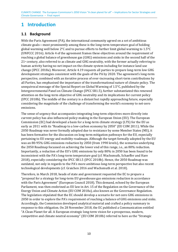## <span id="page-9-0"></span>**1 Introduction**

### <span id="page-9-1"></span>**1.1 Background**

With the Paris Agreement (PA), the international community agreed on a set of ambitious climate goals—most prominently among these is the long-term temperature goal of holding global warming well below 2°C and to pursue efforts to further limit global warming to 1.5°C (UNFCCC 2016). Article 4 of the agreement frames these objectives around the requirement of reaching a global balance of greenhouse gas (GHG) emissions and sinks in the second half of the  $21<sup>st</sup>$  century, also referred to as climate and GHG neutrality, with the former actually referring to human activity having no net impact on the climate system including for instance land use change (IPCC 2018a). Moreover, Article 4.19 requests all parties to prepare long-term low GHG development strategies consistent with the goals of the PA by 2020. The agreement's long-term perspective, combined with an iterative process of ever-increasing short-term contributions by all Parties, has emphasised the importance of the transformational nature of climate policy. The unequivocal message of the Special Report on Global Warming of 1.5°C, published by the Intergovernmental Panel on Climate Change (IPCC SR1.5), further substantiated this renewed attention on the long-term objective of GHG neutrality and its implications for current policy (IPCC 2018b). The middle of the century is a distant but rapidly approaching future, especially considering the magnitude of the challenge of transforming the world's economy to net-zero emissions.

The sense of urgency that accompanies integrating long-term objectives more directly into current policy has also influenced policy-making in the European Union (EU). The European Commission (EC) had developed a basis for a long-term climate strategy (LTS) for the EU as early as 2011 with its "Roadmap to a low-carbon economy by 2050" (EU COM 2011). While the 2050 Roadmap was never formally adopted due to resistance by some Member States (MS), it has been formative for the discussion on long-term mitigation pathways for the EU, especially pertaining to EU energy and mobility roadmaps. Although the target formally adopted by the EU was an 80-95% GHG emissions reduction by 2050 (from 1990 levels), the scenarios underlying the 2050 Roadmap focussed on achieving the lower end of this range, i.e., an 80% reduction. Importantly, a reduction of the EU's GHG emissions by only 80% in 2050 has been found to be inconsistent with the PA's long-term temperature goal (cf. Wachsmuth, Schaeffer and Hare 2018), especially considering the IPCC SR1.5 (IPCC 2018b). Hence, the 2050 Roadmap was outdated, not only in regards to the PA's more ambitious long-term perspective but also recent technological developments (cf. Graichen 2016 and Wachsmuth et al. 2018).

Therefore, in March 2018, heads of state and government requested the EC to prepare a "proposal for a strategy for long-term EU greenhouse gas emissions reduction in accordance with the Paris Agreement" (European Council 2018). This demand, echoed by the European Parliament, was then enshrined as EU law in Art. 15 of the Regulation on the Governance of the Energy Union and Climate Action (EU COM 2018a), also known as the Governance Regulation. The legislation stipulated that the EC should develop a scenario for net-zero GHG emissions in 2050 in order to explore the PA's requirement of reaching a balance of GHG emissions and sinks. Accordingly, the Commission developed analytical material and crafted a policy summary in response to this obligation. On 28 November 2018, the EC published a Communication entitled "A Clean Planet for all. A European strategic long-term vision for a prosperous, modern, competitive and climate neutral economy" (EU COM 2018b) referred to here as the "Strategic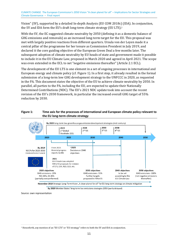<span id="page-10-2"></span>Vision" (SV), supported by a detailed In-depth Analysis (EU COM 2018c[\)](#page-10-1) (IDA). In conjunction, the SV and IDA form the EU's draft long-term climate strategy (EU LTS).<sup>1</sup>

With the SV, the EC suggested climate neutrality by 2050 (defining it as a domestic balance of GHG emissions and removals) as an increased long-term target for the EU. This proposal was met with largely positive reactions from different quarters. Ursula von der Leyen made it a central pillar of the programme for her tenure as Commission President in July 2019, and declared it the core guiding objective of the European Green Deal a few months later. The subsequent adoption of climate neutrality by EU heads of state and government made it possible to include it in the EU Climate Law, proposed in March 2020 and agreed in April 2021. The scope was even extended in the ECL to net "negative emissions thereafter" (Article 2.1 ECL).

The development of the EU LTS is one element in a set of ongoing processes in international and European energy and climate policy (cf. [Figure 1\)](#page-10-0). In a first step, it already resulted in the formal submission of a long-term low GHG development strategy to the UNFCCC in 2020, as requested in the PA. This document states the objective of the EU to achieve climate neutrality by 2050. In parallel, all parties to the PA, including the EU, are expected to update their Nationally Determined Contributions (NDC). The EU's 2021 NDC update took into account the recent revision of the EU's 2030 framework, in particular the increased overall GHG target of 55% reduction by 2030.

#### <span id="page-10-0"></span>**Figure 1: Time axis for the processes of international and European climate policy relevant to the EU long-term climate strategy**



By 2020 Member States' long-term low emissions strategies 2050 (partly delayed)

Source: own representation

<span id="page-10-1"></span>[<sup>1</sup>](#page-10-2) Henceforth, any mention of an "EU LTS" or "EU strategy" refers to both the SV and IDA in conjunction.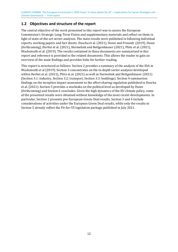### <span id="page-11-0"></span>**1.2 Objectives and structure of the report**

The central objective of the work presented in this report was to assess the European Commission's Strategic Long-Term Vision and supplementary materials and reflect on them in light of state-of-the-art sector analyses. The main results were published in following individual reports, working papers and fact sheets: Duscha et al. (2021), Duwe and Freundt (2019), Duwe (forthcoming), Herbst et al. (2021), Hermelink and Bettgenhäuser (2021), Plötz et al. (2021), Wachsmuth et al. (2019). The results contained in these documents are summarised in this report and reference is provided to the related documents. This allows the reader to gain an overview of the main findings and provides links for further reading.

This report is structured as follows: Section [2](#page-12-0) provides a summary of the analysis of the IDA in Wachsmuth et al (2019). Section [3](#page-18-0) concentrates on the in-depth sector analyses developed within Herbst et al. (2021), Plötz et al. (2021) as well as Hermelink and Bettgenhäuser (2021) (Section [3.1:](#page-18-1) industry, Section [3.2:](#page-21-0) transport, Section [3.3:](#page-24-0) buildings). Section [4](#page-28-0) summarises findings on the inception impact assessment to the effort sharing regulation published in Duscha et al. (2021). Section [5](#page-31-0) provides a stocktake on the political level as developed by Duwe (forthcoming) and Section 6 concludes. Given the high dynamics of the EU climate policy, some of the presented results were obtained without knowledge of the most recent developments. In particular, Section [2](#page-12-0) presents pre-European-Green-Deal results, Section 3 and 4 include considerations of activities under the European Green Deal results, while only the results in Section [5](#page-31-0) already reflect the Fit-for-55 legislation package published in July 2021.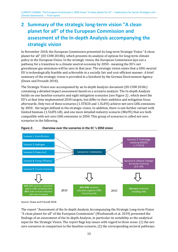## <span id="page-12-0"></span>**2 Summary of the strategic long-term vision "A clean planet for all" of the European Commission and assessment of the In-depth Analysis accompanying the strategic vision**

In November 2018, the European Commission presented its long-term Strategic Vision "A clean planet for all" (EU COM 2018b), which presents its analysis of options for long-term climate policy in the European Union. In the strategic vision, the European Commission lays out a pathway for a transition to a climate neutral economy by 2050 - meaning the EU's net greenhouse gas emissions will be zero in that year. The strategic vision states that a GHG-neutral EU is technologically feasible and achievable in a socially fair and cost-efficient manner. A brief summary of the strategic vision is provided in a factsheet by the German Environment Agency (Duwe and Freundt 2018).

The Strategic Vision was accompanied by an In-depth Analysis document (EU COM 2018c) containing a detailed impact assessment based on a scenario analysis. The In-depth Analysis builds on one baseline scenario and eight mitigation scenarios (see [Figure 2\)](#page-12-1) , which meet the EU's at that time implemented 2030 targets, but differ in their ambition and mitigation focus afterwards. Only two of these scenarios (1.5TECH and 1.5LIFE) achieve net-zero GHG emissions by 2050 - the target defined in the strategic vision. In addition, there is one further variant with limited biomass (1.5LIFE-LB), and one more detailed industry scenario (Mix95) that are both compatible with net-zero GHG emissions in 2050. This group of scenarios is called net-zero scenarios in the following.



<span id="page-12-1"></span>

Source: Duwe and Freundt 2018

The report "Assessment of the In-depth Analysis Accompanying the Strategic Long-term Vision "A clean planet for all" of the European Commission" (Wachsmuth et al. 2019) presented the findings of an assessment of the In-depth Analysis, in particular its suitability as the analytical input for the Strategic Vision. The report flags key issues with regard to three areas: (1) the netzero scenarios in comparison to the baseline scenario, (2) the corresponding sectoral pathways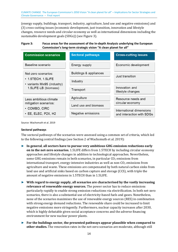(energy supply, buildings, transport, industry, agriculture, land use and negative emissions) and (3) cross-cutting issues (economic development, just transition, innovation and lifestyle changes, resource needs and circular economy as well as international dimensions including the sustainable development goals (SDGs)) (see [Figure 3\)](#page-13-0).

#### <span id="page-13-0"></span>**Figure 3: Focus areas for the assessment of the In-depth Analysis underlying the European Commission's long-term strategic vision "A clean planet for all"**

| <b>Commission scenarios</b>                         | <b>Sectoral pathways</b> | <b>Cross-cutting issues</b>                           |  |
|-----------------------------------------------------|--------------------------|-------------------------------------------------------|--|
| Baseline scenario                                   | Energy supply            | Economic development                                  |  |
| Net-zero scenarios:                                 | Buildings & appliances   | Just transition                                       |  |
| $\cdot$ 1.5TECH, 1.5LIFE                            | Industry                 |                                                       |  |
| • variants Mix95 (industry)<br>1.5LIFE-LB (biomass) | Transport                | Innovation and<br>lifestyle changes                   |  |
| Less ambitious climate                              | Agriculture              | Resource needs and                                    |  |
| mitigation scenarios:                               | Land use and biomass     | circular economy                                      |  |
| $\cdot$ COMBO, CIRC<br>$\cdot$ EE, ELEC, P2X, H2    | Negative emissions       | International dimensions<br>and interaction with SDGs |  |

Source: Wachsmuth et al. 2019

#### **Sectoral pathways**

The sectoral pathways of the scenarios were assessed using a common set of criteria, which led to the following central findings (see Section 2 of Wachsmuth et al. 2019):

- ► **In general**, **all sectors have to pursue very ambitious GHG emission reductions early on in the net-zero scenarios.** 1.5LIFE differs from 1.5TECH by including circular economy approaches and lifestyle changes in addition to technological approaches. Nevertheless, some GHG emissions remain in both scenarios, in particular  $CO<sub>2</sub>$  emissions from international transport, energy-intensive industries as well as non- $CO<sub>2</sub>$  emissions from agriculture and waste. These emissions are compensated by both natural carbon sinks from land use and artificial sinks based on carbon capture and storage (CCS), with triple the amount of negative emissions in 1.5TECH than in 1.5LIFE.
- ► **With regard to energy supply, all scenarios are characterised by the vastly increasing relevance of renewable energy sources.** The power sector has to reduce emissions particularly rapidly to enable strong emission reductions via electrification. In both net-zero scenarios, there is also a substantial use of electricity-based fuels and gases. Nonetheless, none of the scenarios maximises the use of renewable energy sources (RES) in combination with strong energy demand reductions. The renewable share could be increased to limit negative emissions more stringently. Furthermore, nuclear capacity increases after 2030, which is highly debatable given social acceptance concerns and the adverse financing environment for new nuclear power plants.
- ► **For the buildings sector, the presented pathways appear plausible when compared to other studies.** The renovation rates in the net-zero scenarios are moderate, although still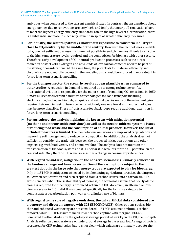ambitious when compared to the current empirical rates. In contrast, the assumptions about energy savings due to renovations are very high, and imply that nearly all renovations have to meet the highest energy efficiency standards. Due to the high level of electrification, there is a substantial increase in electricity demand in spite of greater efficiency measures.

- ► **For industry, the sectoral pathways show that it is possible to transform industry to close to CO2-neutrality by the middle of the century.** However, the technologies available today are not sufficient because it is often not possible to switch from fossil fuels to RES due to the high temperature levels required and the competition for biomass with other sectors. Therefore, early development of  $CO<sub>2</sub>$ -neutral production processes such as the direct reduction of steel with hydrogen and new kinds of low-carbon cements need to be part of the strategic considerations. At the same time, the potentials for material efficiency and circularity are not yet fully covered in the modeling and should be explored in more detail in future long-term scenario modelling.
- ► **For the transport sector, the scenario results appear plausible when compared to other studies.** A reduction in demand is required due to strong technology shifts. International aviation is responsible for the major share of remaining  $CO<sub>2</sub>$  emissions in 2050. Almost all scenarios exhibit a mixture of technologies for road transport including electrification, hydrogen, biofuels, e-liquids and natural gas. As many of these technologies require their own infrastructure, scenarios with only one or a few dominant technologies may be more plausible. These infrastructure feedback loops require additional attention in future long-term scenario modelling.
- ► **For agriculture, the analysis highlights the key areas with mitigation potential (methane and nitrous oxide emissions) as well as the need to address systemic issues of reducing food waste and the consumption of animal products. However, the list of included measures is limited.** The most obvious omissions are improved crop rotation and improving soil management to reduce soil compaction. In addition, the analysis does not sufficiently consider the trade-offs between the proposed mitigation options and other impacts, e.g. with biodiversity and animal welfare. The analysis does not mention the transformation of the food system and it is unclear if it accounts for the full potential on the demand side. Only the 1.5LIFE scenario assumes a change in consumer preferences.
- ► **With regard to land-use, mitigation in the net-zero scenarios is primarily achieved in the land-use change and forestry sector. One of the assumptions subject to the greatest doubt is the large role that energy crops are expected to play for bioenergy.**  Only in 1.5TECH is mitigation achieved by implementing agricultural practices that improve soil carbon sequestration and turn cropland from a carbon source into a carbon sink. To avoid concerns about the sustainability of biomass, the scenarios assume that nearly all the biomass required for bioenergy is produced within the EU. Moreover, an alternative lowbiomass scenario, 1.5LIFE-LB, was created specifically for the land-use category to demonstrate a decarbonisation pathway with a limited use of biomass.
- ► **With regard to the role of negative emissions, the only artificial sinks considered are bioenergy and direct air capture with CCS (BECCS/DACCS).** Other options such as bio char and enhanced weathering are not considered. 1.5TECH assumes ambitious carbon removal, while 1.5LIFE assumes much lower carbon capture with marginal BECCS. Compared to other studies on the geological storage potential for  $CO<sub>2</sub>$  in the EU, the In-depth Analysis relies on a moderate use of underground storage in the scenarios. A range of costs is presented for CDR technologies, but it is not clear which values are ultimately used for the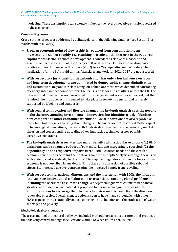modelling. These assumptions can strongly influence the level of negative emissions realised in the scenarios.

#### **Cross-cutting issues**

Cross-cutting issues were addressed qualitatively, with the following findings (see Section 3 of Wachsmuth et al. 2019):

- ► **From an economic point of view, a shift is required from consumption to an investment in GDP of roughly 1%**, **resulting in a substantial increase in the required capital mobilisation**. Economic development is considered relative to a baseline and assumes an increase in GDP of 68-71% by 2050 relative to 2015. Decarbonisation has a relatively minor influence on this figure (-1.3% to +2.2% depending on the model). The implications for the EU's multi-annual financial framework for 2021-2027 are not assessed.
- ► **With respect to a just transition**, **decarbonisation has only a low influence on labor, and long-term developments are dominated by demographic change, digitalisation and automation.** Regions in risk of being left behind are those which depend on contracting or energy-intensive economic sectors. The focus is on labor and reskilling within the EU. The international dimension is not considered. Citizen engagement is seen as important, but the required rise in awareness is assumed to take place in society in general, and is merely supported by labelling and standards.
- ► **With regard to innovation and lifestyle changes**, **the In-depth Analysis sees the need to make the corresponding investments in innovation, but identifies a lack of funding here compared to other economies worldwide**. Social innovations are also regarded as important, but measures to bring about changes in behavior are not described. With respect to technological innovations, the In-depth Analysis describes neither the necessary market diffusion and corresponding upscaling of key innovative technologies nor possibly disruptive transitions.
- ► **The In-depth Analysis associates two major benefits with a circular economy: (1) GHG emissions can be strongly reduced if raw materials are increasingly recycled; (2) the dependency on the respective imports is reduced.** Resource needs and the circular economy constitute a recurring theme throughout the In-depth Analysis although there is no section dedicated specifically to this topic. The required regulatory framework for a circular economy is not described in any detail. Nor is there any discussion of possible rebound effects, i.e. increased use overcompensating the increased supply from recycling.
- ► **With respect to international dimensions and the interaction with SDGs, the In-depth Analysis sees international collaboration as essential to tackling global problems, including those related to climate change.** A deeper dialogue with countries in financial straits is addressed; in particular, it is proposed to pursue a dialogue with fossil-fuel exporting nations to encourage them to diversify their economic portfolio in the direction of renewable energies. Overall, climate action is seen to have many co-benefits with other SDGs, especially internationally and considering health benefits and the eradication of water shortages and poverty.

#### **Methodological considerations**

The assessment of the sectoral pathways included methodological considerations and produced the following central findings (see Sections 2 and 3 of Wachsmuth et al. 2019):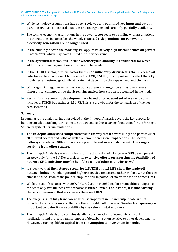- ► While technology assumptions have been reviewed and published, key **input and output parameters** such as sectoral activities and energy demands are **only partially available**.
- ► The techno-economic assumptions in the power sector seem to be in line with assumptions in other studies. In particular, the widely criticised **risk premiums for renewable electricity generation are no longer used**.
- ► In the buildings sector, the modeling still applies **relatively high discount rates on private investments**, which may have limited the efficiency gains.
- ► In the agricultural sector, it is **unclear whether yield stability is considered**, for which additional soil management measures would be needed.
- ► In the LULUCF sector, a crucial factor that is **not sufficiently discussed is the CO<sup>2</sup> removal rate**. Given the strong use of biomass in 1.5TECH/1.5LIFE, it is important to reflect that CO<sub>2</sub> is only re-sequestered gradually at a rate that depends on the type of land and biomass.
- ► With regard to negative emissions, **carbon capture and negative emissions are used almost interchangeably** so that it remains unclear how carbon is accounted in the model.
- ► Results for the **economic development** are **based on a reduced set of scenarios** that includes 1.5TECH but excludes 1.5LIFE. This is a drawback for the comparison of the netzero scenarios.

#### **Summary**

In summary, the analytical input provided in the In-depth Analysis covers the key aspects for building an adequate long-term climate strategy and is thus a strong foundation for the Strategic Vision, in spite of certain limitations:

- ► **The In-depth Analysis is comprehensive** in the way that it covers mitigation pathways for all relevant sectors and GHGs as well as economic and social implications. The sectoral pathways to net-zero GHG emissions are plausible **and in accordance with the ranges resulting from other studies**.
- ► The In-depth Analysis serves as a basis for the discussion of a long-term GHG development strategy only for the EU. Nevertheless, its **extensive efforts on assessing the feasibility of net-zero GHG emissions may be helpful to a lot of other countries as well.**
- ► It is positive that **the net-zero scenarios 1.5TECH and 1.5LIFE show the trade-off between behavioral changes and higher negative emissions** rather explicitly, but there is almost no discussion of the political implications, in particular no prioritisation of measures.
- ► While the set of scenarios with 80% GHG reduction in 2050 explore many different options, the set of only two full net-zero scenarios is rather limited. For instance, **it is unclear why there is no scenario that maximises the use of RES**.
- ► The analysis is not fully transparent, because important input and output data are not provided for all scenarios and they are therefore difficult to assess. **Greater transparency is important to foster its acceptability by the relevant stakeholders**.
- ► The In-depth Analysis also contains detailed considerations of economic and social implications and projects a minor impact of decarbonisation relative to other developments. However, **a strong shift of capital from consumption to investment is needed**.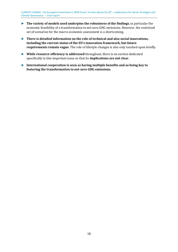- ► **The variety of models used underpins the robustness of the findings**, in particular the economic feasibility of a transformation to net-zero GHG emissions. However, the restricted set of scenarios for the macro-economic assessment is a shortcoming.
- ► **There is detailed information on the role of technical and also social innovations, including the current status of the EU's innovation framework, but future requirements remain vague**. The role of lifestyle changes is also only touched upon briefly.
- ► **While resource efficiency is addressed** throughout, there is no section dedicated specifically to this important issue so that its **implications are not clear**.
- ► **International cooperation is seen as having multiple benefits and as being key to fostering the transformation to net-zero GHG emissions.**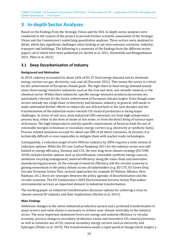## <span id="page-18-0"></span>**3 In-depth Sector Analyses**

Based on the findings from the Strategic Vision and the IDA, in-depth sector analyses were conducted in the context of the project to provide further scientific assessment of the Strategic Vision and the Commission's underlying quantitative analyses. Three sectors were analysed in detail, which face significant challenges when looking at net-zero emission scenarios: industry, transport and buildings. The following is a summary of the findings from the different sector papers, all of which have been published (cf. Herbst et al. 2021, Hermelink and Bettgenhäuser 2021, Plötz et al. 2021).

### <span id="page-18-1"></span>**3.1 Deep Decarbonisation of Industry**

#### **Background and Motivation**

In 2019, industry accounted for about 26% of EU-27 final energy demand and its dominant energy carriers are gas, electricity, coal, and oil (Eurostat 2021). This means the sector is critical for the achievement of European climate goals. The high share in final energy demand mainly stems from energy-intensive industries such as the iron and steel, non-metallic mineral, or the chemical sector. Within these industries, specific energy-intensive products/processes are particularly relevant for the future achievement of European climate targets. Even though some sectors already use a high share of electricity and biomass, industry, in general, still needs to make substantial further efforts to reduce the use of fossil fuels in the next decades and the transformation of the industrial sector towards  $CO<sub>2</sub>$ -neutral production is facing major challenges. In terms of end-uses, most industrial GHG emissions are from high-temperature process heat, either in the form of steam or hot water, or from the direct firing of various types of furnaces. The high temperatures and the specific requirements of furnaces limit the use of renewable energies to biomass or secondary energy carriers (e.g. electricity or synthetic fuels). Process-related emissions account for about one fifth of all direct emissions. At present, it is technically difficult or even impossible to mitigate them with market ready technologies.

Consequently, a reduction target of over 90% for industry by 2050 requires a wide variety of reduction options. While the EU Low-Carbon Roadmap 2011 for the industry sector was still limited to energy efficiency, biomass and CCS, the new long-term climate strategy (EU COM 2018) includes further options such as electrification, renewable synthetic energy sources, ambitious recycling management, material efficiency along the value chain and innovative manufacturing processes. As the concept of material efficiency and the circular economy is gaining momentum in the policy debate across all stakeholders (e.g. EU LTS, EU Green Deal, Circular Economy Action Plan, sectoral approaches for example EU Battery Alliance, New Bauhaus, etc.), there are synergies between the policy agendas of decarbonisation and the circular economy. The EU Commission's 2020 Environmental Services Action Plan makes environmental services an important element in industrial transformation.

The working paper on industrial transformation discusses options for achieving a close-to climate-neutral EU industry and their implications (Herbst et al. 2021).

#### **Main Findings**

Ambitious changes to the entire industrial production system and a profound transformation in many sectors and value chains is necessary to achieve near climate neutrality in the industry sector. The most important abatement levers are energy and material efficiency or circular economy, process change to secondary production routes and innovative CO<sub>2</sub>-neutral processes, as well as extensive use of  $CO<sub>2</sub>$ -neutral secondary energy carriers such as electricity and hydrogen (Fleiter et al. 2019). The transformation needs a rapid speed of change which targets a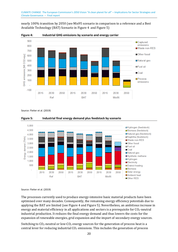nearly 100% transition by 2050 (see Mix95 scenario in comparison to a reference and a Best Available Technology (BAT) Scenario in Figure 4 and Figure 5)



<span id="page-19-0"></span>**Figure 4: Industrial GHG emissions by scenario and energy carrier** 

Source: Fleiter et al. (2019)



#### <span id="page-19-1"></span>**Figure 5: Industrial final energy demand plus feedstock by scenario**

Source: Fleiter et al. (2019)

The processes currently used to produce energy-intensive basic material products have been optimised over many decades. Consequently, the remaining energy efficiency potentials due to applying the BAT are limited (see Figure 4 and Figure 5). Nevertheless, an ambitious increase in energy and material efficiency in all applications and sectors is a prerequisite for  $CO<sub>2</sub>$ -neutral industrial production. It reduces the final energy demand and thus lowers the costs for the expansion of renewable energies, grid expansion and the import of secondary energy sources.

Switching to  $CO_2$ -neutral or low- $CO_2$  energy sources for the generation of process heat is a central lever for reducing industrial  $CO<sub>2</sub>$  emissions. This includes the generation of process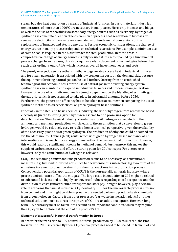steam, but also heat generation by means of industrial furnaces. In basic materials industries, temperatures of more than 1000°C are necessary in many cases. Here, only biomass and biogas as well as the use of renewables via secondary energy sources such as electricity, hydrogen or synthetic gas come into question. The conversion of process heat generation to biomass or renewable electricity is in many cases associated with fundamental conversions or the replacement of furnaces and steam generators. Besides economic considerations, the change of energy source in many processes depends on technical restrictions. For example, a minimum use of coke or coal is required in the blast furnace for steel production. In these areas, a comprehensive change of energy sources is only feasible if it is accompanied by a fundamental process change. In some cases, this also requires early replacement of technologies before they reach their ordinary end-of-life, which increases overall investment needs and costs.

The purely energetic use of synthetic methane to generate process heat in industrial furnaces and for steam generation is associated with low conversion costs on the demand side, because the equipment for firing natural gas can be used further. Starting from an established technological and economic basis for the use of natural gas in the existing energy system, synthetic gas can maintain and expand in industrial furnaces and process steam generation. However, the use of synthetic methane is strongly dependent on the blending of synthetic gas in the gas grid, which is not assumed to take place in substantial amounts before 2030. Furthermore, the generation efficiency has to be taken into account when comparing the use of synthetic methane to direct electrical or green hydrogen-based solutions.

Especially in the steel and basic chemicals industry, the use of hydrogen from renewable-based electrolysis (in the following 'green hydrogen') seems to be a promising option for decarbonisation. The chemical industry already uses fossil hydrogen as feedstock in the ammonia and methanol production, which leads to the assumption that a conversion to green hydrogen would be relatively easy to realise from a technical perspective, given the availability of the necessary quantities of green hydrogen. The production of ethylene could be carried out via the Methanol-to-Olefines (MtO) route, which uses green hydrogen based methanol as an intermediate and is much more energy-intensive than the conventional production. However, this would lead to a significant increase in methanol demand. Furthermore, this makes the supply of carbon necessary and offers a starting point for CCU concepts. For energy uses, however, only the contribution of hydrogen is relevant.

CCU/S for remaining clinker and lime production seems to be necessary, as conventional measures (e.g. fuel switch) would not suffice to decarbonise this sub-sector. E.g. two third of the emissions in cement production stem from chemical reactions in the production process. Consequently, a potential application of CCU/S is the non-metallic minerals industry, where process emissions are difficult to mitigate. The large-scale introduction of CCS might be related to substantial lock-ins and is a highly controversial subject regarding social acceptance and the distribution of costs (infrastructure, transport and storage). It might, however, play a certain role in scenarios that aim at industrial  $CO<sub>2</sub>$ -neutrality. CCU for the unavoidable process emission from cement and lime might be able to provide the needed carbon to produce basic chemicals from green hydrogen. Capture from other processes (e.g. waste incineration plants) or other technical solutions, such as direct air capture of  $CO<sub>2</sub>$ , are an additional option. However, longterm  $CO<sub>2</sub>$  neutrality must be taken into account as an important condition, which may require the  $CO<sub>2</sub>$  cycle to be closed at the end of the product's life.

#### **Elements of a successful industrial transformation in Europe**

In order for the transition to  $CO_2$ -neutral industrial production by 2050 to succeed, the time horizon until 2030 is crucial. By then,  $CO<sub>2</sub>$ -neutral processes need to be scaled up from pilot and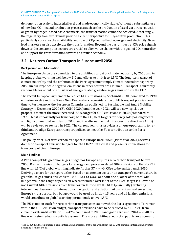demonstration scale to industrial level and made economically viable. Without a substantial use of new low  $CO<sub>2</sub>$ -neutral production processes such as the production of steel via direct reduction or green-hydrogen-based basic chemicals, the transformation cannot be achieved. Accordingly, the regulatory framework must provide a clear perspective for  $CO<sub>2</sub>$ -neutral production. This particularly concerns the availability and role of  $CO<sub>2</sub>$ -neutral hydrogen, gas and electricity. Green lead markets can also accelerate the transformation. Beyond the basic industry,  $CO<sub>2</sub>$  price signals down to the consumption sectors are crucial to align value chains with the goal of  $CO<sub>2</sub>$  neutrality and support the transformation towards a circular economy.

### <span id="page-21-0"></span>**3.2 Net-zero Carbon Transport in Europe until 2050**

#### **Background and Motivation**

The European Union are committed to the ambitious target of climate neutrality by 2050 and to keeping global warming well below 2°C and efforts to limit it to 1.5°C. The long-term target of climate neutrality and the ambition of the Paris Agreement imply climate-neutral transport by 2050 unless large-scale negative emissions in other sectors are assumed. Transport is c[ur](#page-21-1)rently responsible for about one quarter of energy-related greenhouse gas emissions in the EU.<sup>2</sup>

<span id="page-21-2"></span>The recent European agreement to reduce GHG emissions by 55% until 2030 (compared to 1990 emission levels) and the Green New Deal make a reconsideration of EU transport policies very timely. Furthermore, the European Commission published its Sustainable and Smart Mobility Strategy in December 2020 (EU COM 2020a) and the year 2021 will see new legislative proposals to meet the more increased -55% target for GHG emissions in 2030 (compared to 1990). Most importantly for transport, both the  $CO<sub>2</sub>$  fleet targets for newly sold passenger cars and light commercial vehicles for 2030 and the alternative fuel infrastructure directive (AFID) will be reviewed or revised in 2021. The current year thus provides a unique opportunity to rethink and re-align European transport policies to meet the EU's contribution to the Paris Agreement.

The policy brief "Net-zero carbon transport in Europe until 2050" (Plötz et al. 2021) derives domestic transport emission budgets for the EU-27 until 2050 and presents implications for transport policies in Europe.

#### **Main Findings**

A Paris compatible greenhouse gas budget for Europe requires zero carbon transport before 2050. Domestic emission budgets for energy- and process-related GHG emissions of the EU-27 in line with 1.5°C of global warming indicate further  $37 - 44$  Gt CO<sub>2</sub>e to be emitted until 2050. Deriving a share for transport either based on abatement costs or on transport's current share in greenhouse gas emissions leads to  $10.2$  –  $12.1$  Gt CO<sub>2</sub>e, or about one quarter of the total GHG budget, while the range depends on whether limited overshoot of the 1.5°C target is allowed or not. Current GHG emissions from transport in Europe are 0.9 Gt  $CO<sub>2</sub>e$  annually (excluding international bunkers for international navigation and aviation). At current annual emissions, Europe's transport carbon budget would be used up in 11 – 13 years and all further emissions would contribute to global warming permanently above 1.5°C.

The EU is not on track for zero carbon transport consistent with the Paris agreement. To remain within the GHG emission budget, transport emissions have to be reduced by 41 – 47% from current levels until 2030 (or 36 – 42% compared to 2005) and go to zero until 2044 – 2048, if a linear emission reduction path is assumed. The more ambitious reduction path is for a scenario

<span id="page-21-1"></span><sup>&</sup>lt;sup>2</sup> See EU (2020), these numbers exclude international maritime traffic departing from the EU 28 but include international aviation [d](#page-21-2)eparting from the EU 28.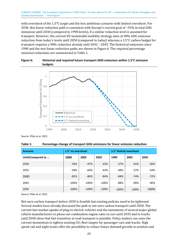with overshoot of the 1.5°C target and the less ambitious scenario with limited overshoot. For 2030, this linear reduction path is consistent with Europe's current goal of –55% in total GHG emissions until 2030 (compared to 1990 levels), if a similar reduction level is assumed for transport. However, the current EU sustainable mobility strategy aims at 90% GHG emission reduction from today's levels until 2050 (compared to today) whereas a 1.5°C carbon budget for transport requires a 90% reduction already until 2042 – 2045. The historical emissions since 1990 and the two linear reduction paths are shown in [Figure 6.](#page-22-0) The required percentage emission reductions are summarised in [Table 1.](#page-22-1)

#### <span id="page-22-0"></span>**Figure 6: Historical and required future transport GHG emissions within 1.5°C emission budgets**



Source: Plötz et al. 2021

<span id="page-22-1"></span>

| Table 1: | Percentage change of transport GHG emissions for linear emission reduction |  |
|----------|----------------------------------------------------------------------------|--|
|----------|----------------------------------------------------------------------------|--|

| <b>Scenario</b>   | 1.5° no overshoot |          |          | 1.5° limited overshoot |         |          |
|-------------------|-------------------|----------|----------|------------------------|---------|----------|
| Until\Compared to | 1990              | 2005     | 2020     | 1990                   | 2005    | 2020     |
| 2030              | $-34%$            | $-47%$   | $-42%$   | $-27%$                 | $-41%$  | $-36%$   |
| 2035              | $-58%$            | $-66%$   | $-63%$   | -48%                   | $-57%$  | $-54%$   |
| 2040              | $-82%$            | $-86%$   | $-84%$   | $-68%$                 | $-74%$  | $-72%$   |
| 2045              | $-100%$           | $-100%$  | $-100\%$ | -88%                   | $-90%$  | $-90%$   |
| 2050              | $-100%$           | $-100\%$ | $-100%$  | $-100%$                | $-100%$ | $-100\%$ |

Source: Plötz et al. 2021

Net-zero carbon transport before 2050 is feasible but existing policies need to be tightened. Several studies have already discussed the path to net-zero carbon transport until 2050. The current fast market uptake of plug-in electric vehicles and the statements of several major global vehicle manufacturers to phase out combustion engine sales in cars until 2035 and in trucks until 2040 show that fast transition in road transport is possible. Policy makers can seize the current momentum to tighten existing  $CO<sub>2</sub>$  fleet targets for passenger cars and trucks. High speed rail and night trains offer the possibility to reduce future demand growth in aviation and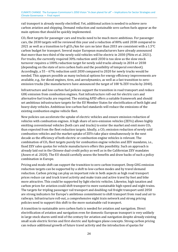rail transport is already mostly electrified. Yet, additional action is needed to achieve zero carbon aviation and shipping. Demand reduction and sustainable zero carbon fuels appear as the main options that should be quickly implemented.

CO<sub>2</sub> fleet targets for passenger cars and trucks need to be much more ambitious. For passenger cars, the 2030 targets will be reviewed this year and a reduction of 80% until 2030 compared to 2021 as well as a transition to 0 gCO<sub>2</sub>/km for cars no later than 2033 are consistent with a 1.5°C carbon budget for transport. Several major European manufacturers have already announced that more than two third of the newly sold vehicles will be electric in 2030 (Plötz et al. 2021). For trucks, the currently required 30% reduction until 2030 is too slow as the slow stock turnover requires a 100% reduction target for newly sold trucks already in 2034 or 2038 (depending on the state of zero carbon fuels and the possibility of temporal overshoot). Accordingly, a 55 – 67% reduction until 2030 compared to 2020 for newly trucks would be needed. This appears possible as many technical options for energy efficiency improvements are available, e.g., for diesel engines, tires, and aerodynamics, as well as a fast transition to zeroemission trucks (the manufacturers have announced the target of 100 % ZEV trucks by 2040).

Infrastructure and low-carbon fuel policies support the transition in road transport and reduce GHG emission from combustion engines. Fast infrastructure roll-out for electric cars and alternative fuel trucks are required. The existing AFID offers a suitable framework and should set ambitious infrastructure targets for the EU Member States for electrification of both light and heavy-duty vehicles. Ambitious low-carbon fuel standards will reduce the emissions of the existing combustion engine vehicle fleet.

New policies can accelerate the uptake of electric vehicles and ensure emission reduction of vehicles with combustion engines. A high share of zero-emission vehicles (ZEVs) allows highly emitting conventional vehicles (both cars and trucks) to enter the market and emit more  $CO<sub>2</sub>$ than expected from the fleet reduction targets. Ideally, a  $CO<sub>2</sub>$  emission reduction of newly sold combustion vehicles and the market uptake of ZEVs take place simultaneously in the next decade as the efficiency of both electric or combustion engine vehicles is relevant. The combination of  $CO<sub>2</sub>$  fleet targets purely for combustion engine vehicles and ZEV mandates, i.e., fixed ZEV sales quotas for vehicle manufacturers offers this possibility. Such an approach is already laid out in the Chinese dual-credit policy as well as in the Californian ZEV mandates (Axsen et al. 2020). The EU should carefully assess the benefits and draw backs of such a policy combination in Europe.

Pricing and mode shift can support the transition to zero carbon transport. Deep GHG emission reduction targets can be supported by a shift to low-carbon modes and by travel demand reduction. Carbon pricing can play an important role in both aspects as high road transport prices reduce car and truck travel activity and make train and active travel by foot and bike more attractive. This could be supported by light electric vehicles. Likewise, high taxation and carbon prices for aviation could shift transport to more sustainable high-speed and night trains. The targets for tripling passenger rail transport and doubling rail freight transport until 2050 are strong indicators for Europe's ambitious commitment to shift transport from road and air to railways. Infrastructure roll-out, a comprehensive night train network and strong pricing policies need to support this shift to the more sustainable rail transport.

A transition to sustainable zero carbon fuels is needed for aviation and navigation. Direct electrification of aviation and navigation even for domestic European transport is very unlikely in large stock shares until mid of the century for aviation and navigation despite already existing small scale electric ferries and first electric and hydrogen plane concepts. Strong carbon pricing can reduce additional growth of future travel activity and the introduction of quotas for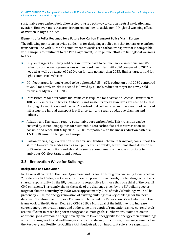sustainable zero carbon fuels allow a step-by-step pathway to carbon neutral navigation and aviation. However, more research is required on how to tackle non- $CO<sub>2</sub>$  global warming effects of aviation in high altitudes.

#### **Elements of a Policy Roadmap for a Future Low Carbon Transport Policy Mix in Europe**

The following points can provide guidelines for designing a policy mix that fosters zero-carbon transport in line with Europe's commitment towards zero carbon transport that is compatible with Europe's commitment to the Paris Agreement, i.e. to pursue efforts to limit global warming to 1.5°C.

- $\triangleright$  CO<sub>2</sub> fleet targets for newly sold cars in Europe have to be much more ambitious. An 80% reduction of the average emissions of newly sold vehicles until 2030 compared to 2021 is needed as well as a target of  $0 \frac{gCO_2}{km}$  for cars no later than 2033. Similar targets hold for light-commercial vehicles.
- $\triangleright$  CO<sub>2</sub> fleet targets for trucks need to be tightened. A 55 67% reduction until 2030 compared to 2020 for newly trucks is needed followed by a 100% reduction target for newly sold trucks already in 2034 – 2038.
- ► Infrastructure for alternative fuel vehicles is required for a fast and successful transition to 100% ZEV in cars and trucks. Ambitious and single European standards are needed for fast charging of electric cars and trucks. The role of fuel cell vehicles and the amount of required infrastructure in road transport is still uncertain and requires adaptive planning and policies.
- ► Aviation and Navigation require sustainable zero carbon fuels. This transition can be ensured by introducing quotas for sustainable zero carbon fuels that start as soon as possible and reach 100 % by 2044 – 2048, compatible with the linear reduction path of a 1.5°C GHG emission budget for Europe.
- ► Carbon pricing, e.g., via taxation or an emission trading scheme in transport, can support the shift to low-carbon modes such as rail, public transit or bike, but will not alone deliver deep GHG emission reductions and should be seen as complement and not as substitute to ambitious  $CO<sub>2</sub>$  fleet targets and quotas.

#### <span id="page-24-0"></span>**3.3 Renovation Wave for Buildings**

#### **Background and Motivation**

In the overall context of the Paris Agreement and its goal to limit global warming to well-below 2, preferably to 1.5 degrees Celsius, compared to pre-industrial levels, the building sector has a shared responsibility. In the EU, it emits or is responsible for more than one third of the overall GHG emissions. This clearly shows the scale of the challenge given by the EU building sector target of climate neutrality by 2050. Since approximately 90% of today`s buildings will still be present by 2050, the energy renovation of existing buildings is a key challenge for the next decades. Therefore, the European Commission launched the Renovation Wave Initiative in the framework of the EU Green Deal (EU COM 2019a). Main goal of the initiative is to increase current energy renovation rates and at the same time depth of renovations, since current levels are insufficient to reach long-term energy and climate goals. Furthermore, it aims to create additional jobs, overcome energy-poverty due to lower energy bills for energy efficient buildings and addressing health and wellbeing in an appropriate way. In addition, financing elements like the Recovery and Resilience Facility (RRF) budgets play an important role, since significant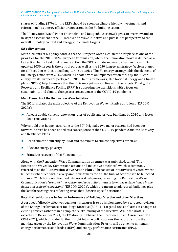shares of funding (37% for the RRF) should be spent on climate friendly investments and reforms, such as energy efficient renovations in the EU building sector.

The "Renovation Wave" Paper (Hermelink and Bettgenhäuser 2021) gives an overview and an in-depth assessment of the EU Renovation Wave Initiative and puts it into perspective to the overall EU policy context and energy and climate targets.

#### **EU policy context**

Main elements of EU policy context are the European Green Deal in the first place as one of the priorities for the 2019-2024 European Commission, where the Renovation Wave is defined as a key action. In the field of EU climate action, the 2030 climate and energy framework with its updated 2030 targets is the central part, as well as the 2050 long-term strategy "A clean planet for all" together with national long-term strategies. The EU energy strategy adds the elements of the Energy Union from 2015, which is updated with an implementation focus by the "Clean energy for all Europeans package" in 2019. In this framework, also National Energy and Climate plans (NECPs) help to ensure that the EU is on a pathway in line with the targets. Finally, the Recovery and Resilience Facility (RRF) is supporting the transitions with a focus on sustainability and climate change as a consequence of the COVID-19 pandemic.

#### **Main Elements of the Renovation Wave Initiative**

The EC formulates the main objective of the Renovation Wave Initiative as follows (EU COM 2020a):

► At least double current renovation rates of public and private buildings by 2030 and foster deep renovations.

Why should that happen according to the EC? Originally two major reasons had been put forward, a third has been added as a consequence of the COVID-19 pandemic and the Recovery and Resilience Plans:

- ► Reach climate neutrality by 2050 and contribute to climate objectives for 2030;
- ► Alleviate energy poverty;
- ► Stimulate recovery of the EU economy.

Along with the Renovation Wave Communication an **annex** was published, called "The Renovation Wave: key Commission actions and indicative timelines", which is commonly referred to as the "**Renovation Wave Action Plan**". A broad set of initiatives is covered, whose launch is scheduled within a very ambitious timeframe, i.e. the bulk of actions is to be launched still in 2021. Actions are classified into several categories, reflecting the Renovation Wave Ccommunication's "*areas of intervention and lead actions critical to enable a step-change in the depth and scale of renovations*" (EU COM 2020a), which are meant to address all buildings plus the last three categories reflecting areas that "deserve specific attention".

#### **Potential revision areas in Energy Performance of Buildings Directive and other Directives**

A core set of directly effective regulatory measures is to be implemented by a targeted revision of the Energy Performance of Buildings Directive (EPBD). "Targeted revision" aims at changes to existing articles rather than a complete re-structuring of the directive. While the draft is expected in December 2021, the EC already published the Inception Impact Assessment (EU COM 2021), which provides further insight into the policy options the EC draws from the mandate given by the Renovation Wave Communication. Priority will be given to minimum energy performance standards (MEPS) and energy performance certificates (EPC).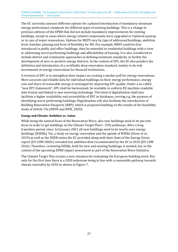The EC currently assesses different options for a phased introduction of mandatory minimum energy performance standards for different types of existing buildings. This is a change to previous editions of the EPBD that did not include mandatory improvements for existing buildings, except in cases where energy-related components were upgraded or replaced anyway or in case of major renovations. Options for MEPS vary by type of addressed buildings, ambition level, timeline, phasing and level of flexibility for MS. For example, MEPS could be first introduced in public and office buildings, then be extended to residential buildings with a view to addressing worst performing buildings and affordability of housing. It is also considered to include district and community approaches in defining minimum standards, to facility the development of zero or positive energy districts. In the context of EPC, the EC also ponders the definition and introduction of a certifiable deep renovation standard, mainly to de-risk investments in energy renovations for financial institutions.

A revision of EPC is to strengthen their impact on creating a market pull for energy renovations. More accurate and reliable data for individual buildings on their energy performance, energy cost and share of renewable energy is envisaged for improving EPC quality. Under a so-called "new EPC framework", EPC shall be harmonised, be available in uniform EU machine-readable data format and linked to new metering technology. This kind of digitalisation shall also facilitate a higher availability and accessibility of EPC in databases, serving e.g. the purpose of identifying worst performing buildings. Digitalisation will also facilitate the introduction of Building Renovation Passports (BRP), which is proposed building on the results of the feasibility study of Article 19a (INIVE and BPIE, 2020).

#### **Energy and Climate: Ambition vs. status**

While being the natural focus of the Renovation Wave, also new buildings need to be put into focus in order to get buildings on the Climate Target Plan's -55% pathways. After a long transition period, since 1st January 2021 all new buildings need to be nearly-zero energy buildings (NZEBs). Yet, a study on energy renovation and the uptake of NZEBs (Esser et al., 2019) as well as the NZEB status the EC provided along with their State of the Energy Union report (EU COM 2020c) revealed less ambition than recommended by the EC in 2016 (EU COM 2016). Therefore, reviewing NZEBs, both for new and existing buildings, is needed, too, in the context of the upcoming EPBD impact assessment as part of the Renovation Wave Initiative.

The Climate Target Plan creates a new situation for evaluating the European building stock. Not only for the first time there is a 2030 milestone being in line with a reasonable pathway towards climate neutrality by 2050 as shown in Figure 7.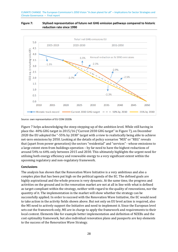#### <span id="page-27-0"></span>**Figure 7: Stylised representation of future net GHG emission pathways compared to historic reduction rate since 1990**



Source: own representation of EU COM 2020b

[Figure 7](#page-27-0) helps acknowledging the steep stepping-up of the ambition level. While still having in place the -40% GHG target in 2015/16 ("Current 2030 GHG target" in [Figure 7\)](#page-27-0), on December 2020 the EU adopted the "-55% by 2030" target with a view to realistically being able to achieve net-zero emissions by 2050. Looking at the details of policy scenarios "MIX" or "REG" reveals that (apart from power generation) the sectors "residential" and "services" - whose emissions to a large extent stem from buildings operation – by far need to have the highest reductions of around 54% to 64% only between 2015 and 2030. This ultimately highlights the urgent need for utilising both energy efficiency and renewable energy to a very significant extent within the upcoming regulatory and non-regulatory framework.

#### **Conclusions**

The analysis has shown that the Renovation Wave Initiative is a very ambitious and also a complex plan that has been put high on the political agenda of the EC. The defined goals are highly aspirational and the whole process is very dynamic. At the same time, the progress and activities on the ground and in the renovation market are not at all in line with what is defined as target-compliant within the strategy, neither with regard to the quality of renovations, nor the quantity of it. The implementation in the market will show whether the strategy can be successfully applied. In order to succeed with the Renovation Wave Initiative, the EC would need to take action in the activity fields shown above. But not only on EU level action is required, also the MS need to actively support the Initiative and need to implement it. Since the European level sets out the framework only, MS are in charge to apply the framework and requirements to their local context. Elements like for example better implementation and definition of NZEBs and the cost optimality framework, but also individual renovation plans and passports are key elements to the success of the Renovation Wave Strategy.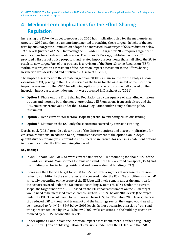## <span id="page-28-0"></span>**4 Medium-term Implications for the Effort Sharing Regulation**

Increasing the EU-wide target to net-zero by 2050 has implications also for the medium-term targets in 2030 and the instruments implemented to reaching those targets. In light of the netzero by 2050 target the Commission adopted an increased 2030 target of 55% reduction below 1990 levels (instead of 40%). Increasing the EU-wide GHG target for 2030 requires significant modifications for all relevant policy areas. The FitFor55 Package, published in July 2021 provided a first set of policy proposals and related impact assessments that shall allow the EU to reach its new target. Part of that package is a revision of the Effort Sharing Regulation (ESR). Within this project, an assessment of the inception impact assessment to the Effort Sharing Regulation was developed and published (Duscha et al. 2021).

The impact assessment to the climate target plan 2030 is a main source for the analysis of an extension of  $CO<sub>2</sub>$  pricing in the EU and served as the basis for the assessment of the inception impact assessment to the ESR. The following options for a revision of the ESR - based on the inception impact assessment document - were assessed in Duscha et al. (2021):

- ► **Option 1:** Phase out the Effort Sharing Regulation as a consequence of extending emissions trading and merging both the non-energy related ESR emissions from agriculture and the GHG emissions/removals under the LULUCF Regulation under a single climate policy instrument
- ► **Option 2:** Keep current ESR sectoral scope in parallel to extending emissions trading
- ► **Option 3**: Maintain in the ESR only the sectors not covered by emissions trading

Duscha et al. (2021) provide a description of the different options and discuss implications for emission reductions. In addition to a quantitative assessment of the options, an in-depth quantitative sector analysis is provided and effects on incentives for realising abatement options in the sectors under the ESR are being discussed.

#### **Key findings**

- ► In 2019, about 2.200 Mt CO<sub>2</sub>e were covered under the ESR accounting for about 60% of the EU-wide emissions. Main sources for emissions under the ESR are road transport (35%) and the buildings sector including residential and non-residential buildings (21%).
- ► Increasing the EU-wide target for 2030 to 55% requires a significant increase in emission reduction ambition in the sectors currently covered under the ESR. The ambition for the ESR is heavily depending on the scope of the ESR but will likely remain under the ambition for the sectors covered under the EU emissions trading system (EU ETS). Under the current scope, the target under the ESR - based on the EU impact assessment on the 2030 target would need to be increased from currently 30% to 39-40% below 2005 levels (the target under the EU ETS would need to be increased from 43% to 63% below 2005 levels). In case of a reduced ESR without road transport and the buildings sector, the target would need to be increased to "only" 34-36% below 2005 levels. In those scenarios emissions from road transport are reduced by 19-21% below 2005 levels, emissions in the buildings sector are reduced by 60-61% below 2005 levels.
- ► Under Options 1 and 2 from the inception impact assessment, there is either a regulatory gap (Option 1) or a double regulation of emissions under both the EU ETS and the ESR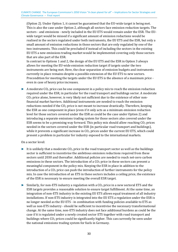(Option 2). Under Option 1, it cannot be guaranteed that the EU-wide target is being met. This is also the case under Option 2, although all sectors face emission reduction targets. The sectors - and emissions - newly included in the EU ETS would remain under the ESR. The EUwide target would be missed if a significant amount of emission reductions would be realised in the sectors regulated under both instruments, the EU ETS and the ESR, but only a small amount of emission reductions in those sectors that are only regulated by one of the two instruments. This could be precluded if instead of including the sectors in the existing EU ETS a new emissions trading market would be implemented covering only those sectors that are also part of the ESR.

In contrast to Options 1 and 2, the design of the EU ETS and the ESR in Option 3 always allows for meeting the EU-wide emission reduction target if targets under the two instruments are being met. Here, the clear separation of emission budgets and instruments currently in place remains despite a possible extension of the EU ETS to new sectors. Precondition for meeting the targets under the EU ETS is the absence of a maximum price even in case of heavy price increases.

A moderate  $CO<sub>2</sub>$  price can be one component in a policy mix to reach the emission reduction required under the ESR, in particular for the road transport and buildings sector. A moderate  $CO<sub>2</sub>$  price alone, however, is very likely not sufficient due to the existence of other nonfinancial market barriers. Additional instruments are needed to reach the emission reductions needed if the  $CO<sub>2</sub>$  price is not meant to increase drastically. Therefore, keeping the ESR as one component in place (even if it only acts as a minimum emission reduction level for those sectors covered under the ESR as could be the case under Option 2) and introducing a separate emissions trading system for those sectors also covered under the ESR seems to be a promising way forward. This policy mix should allow reaching  $CO<sub>2</sub>$  prices needed in the sectors covered under the ESR (in particular road transport and buildings), while it prevents a significant increase in  $CO<sub>2</sub>$  prices under the current EU ETS, which could present a problem in particular for industry exposed to the international markets.

#### On a sector level:

- $\blacktriangleright$  It is unlikely that a moderate CO<sub>2</sub> price in the road transport sector as well as the buildings sector is sufficient to incentivise the ambitious emission reductions required from these sectors until 2030 and thereafter. Additional policies are needed to reach net-zero carbon emissions in these sectors. The introduction of a  $CO<sub>2</sub>$  price in these sectors can present a meaningful component in the policy mix. Keeping the ESR in place in addition to the introduction of a  $CO<sub>2</sub>$  price can push the introduction of further instruments for the policy mix. In case the introduction of an ETS in these sectors includes a ceiling price, the existence of the ESR is necessary to ensure meeting the overall ESR target.
- $\triangleright$  Similarly, for non-ETS industry a regulation with a CO<sub>2</sub> price in a new sectoral ETS and the ESR targets provides a reasonable solution to ensure target fulfillment. At the same time, an integration of non-ETS industry in the existing EU ETS allows equal treatment of all industry installations. If non-ETS industry is integrated into the EU ETS a regulation under the ESR is no longer needed as the EU ETS - in combination with funding policies available to ETS as well as non-ETS industry - should be sufficient to incentivise the necessary transformational change. At the same time, non-ETS industry does not face additional burdens as could be the case if it is regulated under a newly created sector ETS together with road transport and buildings where  $CO<sub>2</sub>$  prices could be significantly higher. This can currently be seen under the national emissions trading system for fuels in Germany.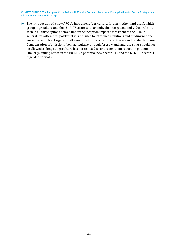► The introduction of a new AFOLU instrument (agriculture, forestry, other land uses), which groups agriculture and the LULUCF sector with an individual target and individual rules, is seen in all three options named under the inception impact assessment to the ESR. In general, this attempt is positive if it is possible to introduce ambitious and binding national emission reduction targets for all emissions from agricultural activities and related land use. Compensation of emissions from agriculture through forestry and land-use sinks should not be allowed as long as agriculture has not realised its entire emission reduction potential. Similarly, linking between the EU ETS, a potential new sector ETS and the LULUCF sector is regarded critically.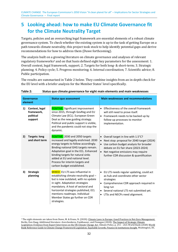## <span id="page-31-0"></span>**5 Looking ahead: how to make EU Climate Governance fit for the Climate Neutrality Target**

Targets, policies and an overarching legal framework are essential elements of a robust climate governance system. To check whether the existing system is up to the task of getting Europe on a path towards climate neutrality, this project took stock to help identify potential gaps and derive recommendations for how to address them (Duwe forthcoming).

<span id="page-31-3"></span>The analysis built on a [g](#page-31-2)rowing literature on climate governance and analyses of relevant regulatory frameworks<sup>3</sup> and on that basis defined eight key parameters for the assessment: 1. Overall context, legal framework, support; 2. Targets for both long- & short-term; 3. Strategic planning; 4. Policy cycle; 5. Progress monitoring; 6. Internal coordination; 7. Scientific advice; 8. Public participation.

The results are summarised in [Table 2](#page-31-1) below. They combine insights from an in-depth check for the EU level with a briefer analysis for the Member States' level specifically.

| Governance<br>element |                                                      | <b>Status quo assessment</b>                                                                                                                                                                                                                                                                                                               | <b>Main weaknesses and recommendations</b>                                                                                                                                                                                                                                   |
|-----------------------|------------------------------------------------------|--------------------------------------------------------------------------------------------------------------------------------------------------------------------------------------------------------------------------------------------------------------------------------------------------------------------------------------------|------------------------------------------------------------------------------------------------------------------------------------------------------------------------------------------------------------------------------------------------------------------------------|
| 1)                    | Context, legal<br>framework,<br>political<br>support | <b>POSITIVE:</b> Significant improvement<br>since 2015, through GovReg and EU<br>Climate Law (ECL). European Green<br>Deal as the new guiding strategy.<br>Political and public support is visible,<br>and the pandemic could not stop the<br>dynamic.                                                                                     | Effectiveness of the overall framework<br>$\bullet$<br>will still need to prove itself.<br>• Framework needs to be backed up by<br>follow-up processes to monitor<br>implementation.                                                                                         |
| 2)                    | <b>Targets: long</b><br>and short term               | POSITIVE: 2030 and 2050 targets<br>increased and legally enshrined. 2030<br>energy targets to follow accordingly.<br>Binding national GHG targets remain.<br>Adaptation goal in the ECL. Enhanced<br>binding targets for natural sinks<br>added at EU and national level.<br>Process for interim targets and<br>carbon budget established. | Overall target in line with 1.5°C?<br>$\bullet$<br>Next stop: proposal for 2040 target (2024)<br>$\bullet$<br>Use carbon budget analysis for broader<br>debate on EU fair share (2023-2024)<br>Net negative emissions may require<br>further CDR discussion & quantification |
| 3)                    | <b>Strategic</b><br>planning                         | MIXED: EU LTS was influential in<br>establishing climate neutrality goal -<br>but is now outdated, with no update<br>in sight. Adaptation strategies<br>mandatory. A host of sectoral and<br>horizontal strategies published, ECL<br>mentions roadmaps. Individual<br>Member States go further on CDR<br>strategies.                       | • EU LTS needs regular updating, could act<br>as hub and coordinate other sector<br>strategies<br>Comprehensive CDR approach required in<br>$\bullet$<br>long run<br>• Several national LTS not submitted yet.<br>LTSs and NECPs need alignment.<br>$\bullet$                |

<span id="page-31-1"></span>

| Table 2:<br>Status quo climate governance for eight main elements and main weaknesses |  |
|---------------------------------------------------------------------------------------|--|
|---------------------------------------------------------------------------------------|--|

<span id="page-31-2"></span><sup>3</sup> The eight elements are taken from Duwe, M. & Evans, N. (2020): [Climate Laws in Europe: Good Practices in Net-Zero Management.](https://www.ecologic.eu/sites/files/publication/2020/climatelawsineurope_fullreport_0.pdf) [B](#page-31-3)erlin, Den Haag; Additional literature: Averchenkova, Fankhauser, and Finnegan (2020): The Impact of Strategic Climate [Legislation: Evidence from Expert Interviews on the UK Climate Change Act.](https://doi.org/10.1080/14693062.2020.1819190) Climate Policy, p. 251 – 263; World Bank (2020) [World](https://elibrary.worldbank.org/doi/pdf/10.1596/34972)  [Bank Reference Guide to Climate Change Framework Legislation. Equitable Growth, Finance &](https://elibrary.worldbank.org/doi/pdf/10.1596/34972) Institutions Insight. Washington, DC.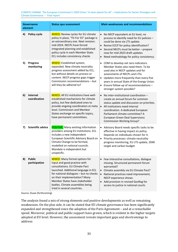| <b>Governance</b><br>element |                                 | <b>Status quo assessment</b>                                                                                                                                                                                                                                                                                                    | <b>Main weaknesses and recommendations</b>                                                                                                                                                                                                                                                                                                  |
|------------------------------|---------------------------------|---------------------------------------------------------------------------------------------------------------------------------------------------------------------------------------------------------------------------------------------------------------------------------------------------------------------------------|---------------------------------------------------------------------------------------------------------------------------------------------------------------------------------------------------------------------------------------------------------------------------------------------------------------------------------------------|
| 4)                           | Policy cycle                    | MIXED: Review cycles for EU climate<br>policy in place, "Fit For 55" package is<br>an extraordinary one. Next revision:<br>mid-2024. NECPs have forced<br>integrated planning and established<br>policy cycle in each Member State.<br>ECL includes consistency checks                                                          | • No NECP equivalent at EU level, no<br>process to identify need for EU policies -<br>could be done via LTS update.<br>Revive ECCP for policy identification?<br>$\bullet$<br>Second NECPs must be better - prepare<br>$\bullet$<br>now for mid-2023 draft updates<br>Need methodology for policy consistency.                              |
| 5)                           | <b>Progress</b><br>monitoring   | <b>MIXED:</b> Established system,<br>expanded. New climate neutrality<br>progress assessment added by ECL,<br>but without details on process or<br>content. NECP progress gaps trigger<br>Commission recommendations - but<br>will they be adhered to?                                                                          | • COM to develop net zero indicators.<br>Member States also need them. To be<br>used also in NECP updates and for<br>assessments of NECPs and LTSs<br>Updates more frequently than every five<br>$\bullet$<br>years in annual State of the Energy Union.<br>Ensure follow-up of recommendations -<br>$\bullet$<br>stronger system possible? |
| 6)                           | <b>Internal</b><br>coordination | <b>MIXED:</b> All EU institutions have well-<br>established mechanisms for climate<br>policy, but few dedicated ones to<br>provide ongoing coordination at meta<br>level. Commission and Member<br>States exchange on specific topics,<br>have permanent committees.                                                            | $\bullet$ No inter-institutional coordination $-$<br>create an annual forum for common<br>status update and discussion on priorities.<br>• All institutions need internal<br>coordination. A dedicated European<br>Parliament climate committee? A<br>European Green Deal Supervisory<br><b>Commission Working Group?</b>                   |
| 7)                           | <b>Scientific advice</b>        | <b>POSITIVE:</b> Many existing information<br>providers among EU institutions. ECL<br>includes a new independent<br>European Scientific Advisory Board on<br>Climate Change to be formed,<br>modelled on national councils.<br>Mandate is independent but<br>unspecific.                                                        | • Advisory Board needs specific tasks to be<br>effective in having impact on policy.<br>Depends on individuals chosen for it.<br>Priority processes: climate neutrality<br>$\bullet$<br>progress monitoring, EU LTS update, 2040<br>target and carbon budget                                                                                |
| 8)                           | <b>Public</b><br>participation  | <b>MIXED:</b> Many formal options for<br>input and good practice with<br>consultations. EU Climate Pact<br>launched. Additional language in ECL<br>for national dialogues - but no checks<br>on their implementation? Many<br>Member States have stakeholder<br>bodies. Climate assemblies being<br>tried in several countries. | Few interactive consultations, dialogue<br>$\bullet$<br>missing. Structured permanent forum<br>warranted?<br>• Climate assembly via EU Climate Pact?<br>National practices need improvement,<br>$\bullet$<br>NECP experience shows.<br>• Add provision in revised GovReg for<br>access to justice in national courts                        |

Source: Duwe (forthcoming)

The analysis found a mix of strong elements and positive developments as well as remaining weaknesses. On the plus side, it can be stated that EU climate governance has been significantly expanded and strengthened since the adoption of the Paris Agreement – and at a remarkable speed. Moreover, political and public support have grown, which is evident in the higher targets adopted at EU level. However, the assessment reveals important gaps and shortcomings to address: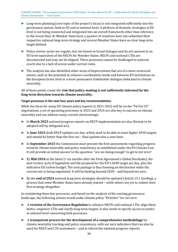- ► Long-term planning (core topic of the project's focus) is not integrated sufficiently into the governance system, both at EU and at national level. A plethora of thematic strategies at EU level is not being connected and integrated into an overall framework other than reference to the Green Deal. At Member State level, a quarter of countries have not submitted their respective national long-term strategy and several Member States have no clear long-term target defined.
- ► Policy review cycles are regular, but not based on broad dialogue and do not amount to an EU level equivalent of the NECPs for Member States. NECPs and national LTSs are disconnected and may not be aligned. These processes cannot be challenged in national courts due to a lack of access under current rules.
- ► The analysis has also identified other areas of improvement that are of a more structural nature, such as the potential to enhance coordination inside and between EU institutions on the European Green Deal or a more permanent stakeholder dialogue dedicated to climate neutrality.

All of these points create the **risk that policy-making is not sufficiently informed by the long-term direction towards climate neutrality.**

#### **Target processes in the next four years and key recommendations**

While the focus for many EU climate policy experts in 2021-2022 will be on the "Fit For 55" negotiations, a set of upcoming processes in 2023 and 2024 are also key to success on climate neutrality and can address many current shortcomings:

- ► In **March 2023** national progress reports on NECP implementation are due (format to be adopted still by delegated act).
- ► In **June 2023** draft NECP updates are due, which need to be able to meet higher 2030 targets and should be better than the first set – final updates due a year later.
- ► In **September 2023** the Commission must present the first assessments regarding progress towards climate neutrality and policy consistency as established under the EU Climate Law. It will provide an initial answer to the question: "are we doing enough" to get to net zero?
- ► By **Mid-2024** at the latest (= six months after the Paris Agreement's Global Stocktake), the next review cycle of legislation *and* the proposal for the EU's 2040 target are due, plus the indicative EU carbon budget. The next package is thus looming on the horizon while the current one is being negotiated. It will be looking beyond 2030 – and beyond net zero.
- ► By the **end of 2024** national long-term strategies should be updated (Article 15.1 GovReg), a process that some Member States have already started – while others are yet to submit their first strategy altogether.

In considering these key processes, and based on the analysis of the existing governance landscape, the following actions would make climate policy "fit better" for net zero:

- ► A **revision of the Governance Regulation** to enhance NECPs and national LTSs, align them better, empower LTSs and clarify long-term targets. It also needs to specify access to justice at national level concerning both processes.
- ► A **transparent process for the development of a comprehensive methodology** for climate neutrality tracking and policy consistency, with net zero indicators that can also be used for NECP and LTS assessment – and to inform the national progress reports.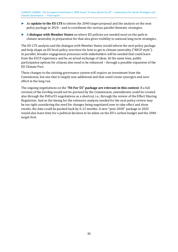- ► An **update to the EU LTS** to inform the 2040 target proposal and the analysis on the next policy package in 2024 – and to coordinate the various parallel thematic strategies.
- ► A **dialogue with Member States** on where EU policies are needed most on the path to climate neutrality in preparation for that also gives visibility to national long-term strategies.

The EU LTS analysis and the dialogue with Member States would inform the next policy package and help shape an EU level policy overview for how to get to climate neutrality ("NECP style"). In parallel, broader engagement processes with stakeholders will be needed that could learn from the ECCP experience and be an actual exchange of ideas. At the same time, public participation options for citizens also need to be enhanced – through a possible expansion of the EU Climate Pact.

These changes to the existing governance system will require an investment from the Commission, but one that is largely non-additional and that could create synergies and save effort in the long run.

The ongoing negotiations on the **"Fit For 55" package are relevant in this context**. If a full revision of the GovReg would not be pursued by the Commission, amendments could be created also through the FitFor55 negotiations as a shortcut, i.e., through the review of the Effort Sharing Regulation. And as the timing for the extensive analysis needed for the next policy review may be too tight considering the need for changes being negotiated now to take effect and show results, the date could be pushed back by 6-12 months. A new "post-2030" package in 2025 would also leave time for a political decision to be taken on the EU's carbon budget and the 2040 target first.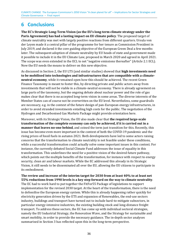## <span id="page-35-0"></span>**6 Conclusions**

**The EC's Strategic Long-Term Vision (as the EU's long-term climate strategy under the Paris Agreement) has had a lasting impact on EU climate policy**. The proposed target of climate neutrality was met with largely positive reactions from different quarters. Ursula von der Leyen made it a central pillar of the programme for her tenure as Commission President in July 2019, and declared it the core guiding objective of the European Green Deal a few months later. The subsequent adoption of climate neutrality by EU heads of state and government made it possible to include it in the EU Climate Law, proposed in March 2020 and agreed in April 2021. The scope was even extended in the ECL to net "negative emissions thereafter" (Article 2.1 ECL). Now the EU needs the means to deliver on this new objective.

As discussed in Section [2,](#page-12-0) the EU LTS (and similar studies) showed that **high investments need to be mobilised into technologies and infrastructures that are compatible with a climateneutral economy**, while it remained open how this should be achieved. The recent Green Finance Taxonomy is meant to foster this, by directing private and public actors away from investments that will not be viable in a climate-neutral economy. There is already agreement on large parts of the taxonomy, but the ongoing debate about nuclear power and the role of gas makes clear that there is no accepted long-term vision in some areas. The diverse interests of the Member States can of course not be overwritten on the EU level. Nevertheless, some guardrails are necessary, e.g. in the context of the future design of pan-European energy infrastructures, in order to avoid stranded investments entailing high costs for the public. The negotiation of the Hydrogen and Decarbonised Gas Markets Package might provide orientation here.

Moreover, with its Strategic Vision, the EU also made clear that **the required large-scale transformation of the complete economy can only be achieved, if it is carried out in a manner that leaves no-one behind**, and coined the term just transition for this. Recently, this issue has become even more important in the context of both the COVID-19 pandemic and the rising prices of fossil fuels in autumn 2021. Both developments have led to some actors raising concerns that the transformation to climate neutrality is not feasible under these conditions, while a successful transformation could actually solve some important issues in this context. For instance, the currently debated Social Climate Fund addresses the issue of equality in this transformation. This underlines the need for a positive vision of the desired future pathway, which points out the multiple benefits of the transformation, for instance with respect to energy security, clean air and labour markets. While the EC addressed this already in its Strategic Vision, it still needs to be disseminated all over the EU, allowing the EU citizens to participate in its embodiment.

**The review and increase of the interim target for 2030 from at least 40% to at least net 55% reductions from 1990 levels is a key step forward on the way to climate neutrality**. The EC had to work hard to put together the FitFor55 Package of legislations to support implementation for the revised 2030 target. At the heart of the transformation, there is the need to defossilise the European energy system. While this is already happening rather quickly for electricity generation driven by the ETS and expansion of Renewables, the end-use sectors industry, buildings and transport have turned out to include hard-to-mitigate subsectors, in particular energy-intensive industries, the existing building stock and long-distance freight transport. To address these sectors, the EC has come up with individual sectoral strategies, namely the EU Industrial Strategy, the Renovation Wave, and the Strategy for sustainable and smart mobility, in order to provide the necessary guidance. The in-depth sector analyses summarised in Section [3](#page-18-0) has reflected upon this in the long-term perspective.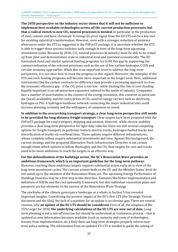**The 2050 perspective on the industry sector shows that it will not be sufficient to implement best-available technologies across all the current production processes, but that a radical switch to new CO2-neutral processes is needed,** in particular in the production of steel, cement and basic chemicals. A strong  $CO<sub>2</sub>$  price signal from the EU ETS can be a key tool for enabling industrial transformation. However, even with a stronger reduction of emission allowances under the ETS as suggested in the FitFor55 package, it is uncertain whether the ETS is able to trigger these process switches early enough in view of the long-term upcoming investment cycles. Because by 2030,  $CO<sub>2</sub>$ -neutral processes in industry must be able to be scaled up from pilot and demonstration scale to industrial level and operated economically. The EU Innovation Fund and similar national funding programs try to fill this gap by supporting the commercialisation of the relevant processes such as the use of low-carbon hydrogen, CCUS and circular economy approaches. While this is an important lever to address the long-term perspective, it is not clear how to track the progress in this regard. Moreover, the interplay of the ETS and such funding programs will become more important in the longer term. Here, additional instruments like the carbon contracts for difference may provide a promising approach to close the economic efficiency gap - if the  $CO<sub>2</sub>$  price is too low - while limiting the risk of over-funding. Equally important is an infrastructure expansion tailored to the needs of industry. Companies face a number of uncertainties in the context of the energy transition, this concerns in particular the (local) availability and the costs/prices of  $CO<sub>2</sub>$ -neutral energy carriers such as electricity, hydrogen or PtG. A hydrogen backbone network connecting the major industrial sites could increase planning certainty and the willingness of companies to invest.

**In addition to the overarching transport strategy, a clear long-term perspective still needs to be provided for long-distance freight transport.** Clear targets have been proposed with the FitFor55 package for road transport, shipping and aviation. However, while electric mobility provides a clear long-term perspective for light-duty vehicles, there are still several competing options for freight transport, in particular battery-electric trucks, hydrogen-fuelled trucks and electrification of trucks via overhead lines. These options require different infrastructures, whose complete rollout require substantial investments and time. Against this background, the current strategy and the proposed Alternative Fuels Infrastructure Directive is not certain enough about which options to follow thoroughly and the  $CO<sub>2</sub>$  fleet targets for cars and trucks need to be more ambitious to reach the targets in an effective way.

**For the defossilisation of the buildings sector, the EC's Renovation Wave provides an ambitious framework, which is an important guideline for the long-term pathway.**  However, reaching these ambitious targets requires substantial action early on in view of the long-term investment cycles. The current actions both on the EU and the Member States' level do not match up to the ambition of the Renovation Wave yet. The upcoming Energy Performance of Buildings Directive may be a first step in this direction. Elements like better implementation and definition of NZEBs and the cost optimality framework, but also individual renovation plans and passports are key elements to the success of the Renovation Wave Strategy.

The stocktake of the climate governance landscape as a whole in Section [5](#page-31-0) has revealed important insights. Considering the positive impact of the EU's first LTS (the Strategic Visions document and the IDA), the lack of a mandate for an update is an obvious gap. There are several reasons, why **an update of the EU LTS should be considered**. First of all, the adoption of the 55% target for 2030, **the underlying calculations of the EU LTS are now out of date.** Longterm planning is not a one-off exercise but should be understood as continuous process – that is updated as new information becomes available (such as maturity and costs of technologies, lessons from implementation, etc.). Only then can long-term strategies properly inform nearterm policy-making. The information from an updated EU LTS is needed to guide the setting of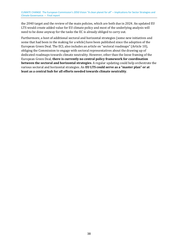the 2040 target and the review of the main policies, which are both due in 2024. An updated EU LTS would create added value for EU climate policy and most of the underlying analysis will need to be done anyway for the tasks the EC is already obliged to carry out.

Furthermore, a host of additional sectoral and horizontal strategies (some new initiatives and some that had been in the making for a while) have been published since the adoption of the European Green Deal. The ECL also includes an article on "sectoral roadmaps" (Article 10), obliging the Commission to engage with sectoral representatives about the drawing up of dedicated roadmaps towards climate neutrality. However, other than the loose framing of the European Green Deal, **there is currently no central policy framework for coordination between the sectoral and horizontal strategies**. A regular updating could help orchestrate the various sectoral and horizontal strategies. An **EU LTS could serve as a "master plan" or at least as a central hub for all efforts needed towards climate neutrality**.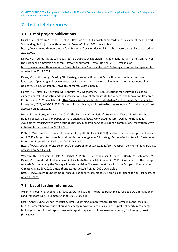## <span id="page-38-0"></span>**7 List of References**

### <span id="page-38-1"></span>**7.1 List of project publications**

Duscha, V.; Lehmann, S.; Ittner, S. (2021): Revision der EU-Klimaschutz-Verordnung [Revision of the EU Effort-Sharing-Regulation]. Umweltbundesamt, Dessau-Roßlau, 2021. Available at:

https://www.umweltbundesamt.de/publikationen/revision-der-eu-klimaschutz-verordnung, last accessed on 22.11.2021.

Duwe, M., Freundt, M. (2019): Fact Sheet: EU 2050 strategic vision "A Clean Planet for All". Brief Summary of the European Commission proposal. Umweltbundesamt, Dessau-Roßlau, 2019. Available at: [https://www.umweltbundesamt.de/en/publikationen/fact-sheet-eu-2050-strategic-vision-a-clean-planet,](https://www.umweltbundesamt.de/en/publikationen/fact-sheet-eu-2050-strategic-vision-a-clean-planet) last accessed on 22.11.2021.

Duwe, M. (forthcoming): Making EU climate governance fit for Net Zero – How to complete the current landscape of planning and review processes for targets and policies to align it with the climate neutrality objective. Discussion Paper. Umweltbundesamt, Dessau-Roßlau.

Herbst, A., Fleiter, T., Neuwirth, M., Rehfeldt, M., Wachsmuth, J. (2021) Options for achieving a close-to climate-neutral EU industry and their implications. Fraunhofer Institute for Systems and Innovation Research ISI, Karlsruhe, 2021. Available at: [https://www.isi.fraunhofer.de/content/dam/isi/dokumente/sustainability](https://www.isi.fraunhofer.de/content/dam/isi/dokumente/sustainability-innovation/2021/WP-S-08_2021_Options_for_achieving_a_close-to%20climate-neutral_EU_industry.pdf)[innovation/2021/WP-S-08\\_2021\\_Options\\_for\\_achieving\\_a\\_close-to%20climate-neutral\\_EU\\_industry.pdf,](https://www.isi.fraunhofer.de/content/dam/isi/dokumente/sustainability-innovation/2021/WP-S-08_2021_Options_for_achieving_a_close-to%20climate-neutral_EU_industry.pdf) last accessed on 22.11.2021.

Hermelink, A., Bettgenhäuser, K. (2021): The European Commission's Renovation Wave Initiative for the Building Sector. Discussion Paper. Climate Change 53/2021. Umweltbundesamt, Dessau-Roßlau, 2021. Available at: [https://www.umweltbundesamt.de/publikationen/the-european-commissions-renovation-wave](https://www.umweltbundesamt.de/publikationen/the-european-commissions-renovation-wave-initiative)[initiative,](https://www.umweltbundesamt.de/publikationen/the-european-commissions-renovation-wave-initiative) last accessed on 22.11.2021.

Plötz, P., Wachsmuth, J., Gnann, T., Neuner, F., Speth, D., Link, S. (2021): Net-zero carbon transport in Europe until 2050 - Targets, technologies and policies for a long-term EU strategy. Fraunhofer Institute for Systems and Innovation Research ISI, Karlsruhe, 2021. Available at:

[https://www.isi.fraunhofer.de/content/dam/isi/dokumente/cce/2021/EU\\_Transport\\_policybrief\\_long.pdf,](https://www.isi.fraunhofer.de/content/dam/isi/dokumente/cce/2021/EU_Transport_policybrief_long.pdf) last accessed on 22.11.2021.

Wachsmuth, J., Eckstein, J., Held, A., Herbst, A., Plötz, P., Bettgenhäuser, K., Berg, T., Hardy, M., Schimmel, M., Duwe, M., Freundt, M., Frelih-Larsen, A., Hirschnitz-Garbers, M., Araujo, A. (2019): Assessment of the In-depth Analysis Accompanying the Strategic Long-term Vision "A clean planet for all" of the European Commission. Climate Change 35/2019. Umweltbundesamt, Dessau-Roßlau, 2021. Available at:

[https://www.umweltbundesamt.de/en/publikationen/assessment-EU-vision-clean-plaent-for-all,](https://www.umweltbundesamt.de/en/publikationen/assessment-EU-vision-clean-plaent-for-all) last accessed on 22.11.2021.

### <span id="page-38-2"></span>**7.2 List of further references**

Axsen, J., Plötz, P., & Wolinetz, M. (2020). Crafting strong, integrated policy mixes for deep CO 2 mitigation in road transport. Nature Climate Change, 10(9), 809-818.

Esser, Anne; Dunne, Allison; Meeusen, Tim; Quaschning, Simon; Wegge, Denis; Hermelink, Andreas et al. (2019): Comprehensive study of building energy renovation activities and the uptake of nearly zero-energy buildings in the EU. Final report. Research report prepared for European Commission, DG Energy. (Ipsos); (Navigant).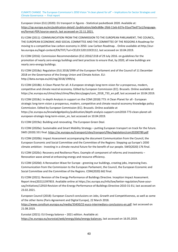European Union (EU) (2020): EU transport in figures - Statistical pocketbook 2020. Available at: [https://op.europa.eu/en/publication-detail/-/publication/da0cd68e-1fdd-11eb-b57e-01aa75ed71a1/language](https://op.europa.eu/en/publication-detail/-/publication/da0cd68e-1fdd-11eb-b57e-01aa75ed71a1/language-en/format-PDF/source-search)[en/format-PDF/source-search,](https://op.europa.eu/en/publication-detail/-/publication/da0cd68e-1fdd-11eb-b57e-01aa75ed71a1/language-en/format-PDF/source-search) last accessed on 22.11.2021.

EU COM (2011): COMMUNICATION FROM THE COMMISSION TO THE EUROPEAN PARLIAMENT, THE COUNCIL, THE EUROPEAN ECONOMIC AND SOCIAL COMMITTEE AND THE COMMITTEE OF THE REGIONS A Roadmap for moving to a competitive low carbon economy in 2050. Low Carbon Roadmap. . Online available at:http://eurlex.europa.eu/legal-content/EN/TXT/?uri=CELEX:52011DC0112, last accessed on 10.04.2019.

EU COM (2016): Commission Recommendation (EU) 2016/1318 of 29 July 2016. on guidelines for the promotion of nearly zero-energy buildings and best practices to ensure that, by 2020, all new buildings are nearly zero-energy buildings.

EU COM (2018a): Regulation (EU) 2018/1999 of the European Parliament and of the Council of 11 December 2018 on the Governance of the Energy Union and Climate Action. ELI: http://data.europa.eu/eli/reg/2018/1999/oj

EU COM (2018b): A Clean Planet for all. A European strategic long-term vision for a prosperous, modern, competitive and climate neutral economy. Edited by European Commission (EC). Brussels. Online available at https://ec.europa.eu/clima/sites/clima/files/docs/pages/com\_2018\_733\_en.pdf, last accessed on 10.04.2019.

EU COM (2018c): In-depth Analysis in support on the COM (2018) 773: A Clean Planet for all - European strategic long-term vision a prosperous, modern, competitive and climate neutral economy Knowledge policy Commission. Edited by European Commission (EC). Brussels. Online available at https://ec.europa.eu/knowledge4policy/publication/depth-analysis-support-com2018-773-clean-planet-alleuropean-strategic-long-term-vision\_en, last accessed on 10.04.2019.

EU COM (2019a): Building and renovating. The European Green Deal.

EU COM (2020a): Sustainable and Smart Mobility Strategy – putting European transport on track for the future. SWD (2020) 331 final.<https://ec.europa.eu/transport/sites/transport/files/legislation/com20200789.pdf>

EU COM (2020b): Impact Assessment accompanying the document Communication from the Council, the European Economic and Social Committee and the Committee of the Regions: Stepping up Europe's 2030 climate ambition - Investing in a climate-neutral future for the benefit of our people. SWD(2020) 176 final.

EU COM (2020c): Recovery and Resilience Plans. Example of component of reforms and investments – Renovation wave aimed at enhancing energy and resource efficiency.

EU COM (2020d): A Renovation Wave for Europe - greening our buildings, creating jobs, improving lives. Communication from the Commission to the European Parliament, the Council, the European Economic and Social Committee and the Committee of the Regions. COM(2020) 662 final.

EU COM (2021): Revision of the Energy Performance of Buildings Directive. Inception Impact Assessment. Report Ares(2021)1397833. Available online at https://ec.europa.eu/info/law/better-regulation/have-yoursay/initiatives/12910-Revision-of-the-Energy-Performance-of-Buildings-Directive-2010-31-EU, last accessed on 23.02.2021.

European Council (2018): European Council conclusions on Jobs, Growth and Competitiveness, as well as some of the other items (Paris Agreement and Digital Europe), 22 March 2018.

[https://www.consilium.europa.eu/media/33430/22-euco-intermediary-conclusions-en.pdf.](https://www.consilium.europa.eu/media/33430/22-euco-intermediary-conclusions-en.pdf) last accessed on 21.08.2019.

Eurostat (2021): EU Energy balance – 2021 edition. Available at: [https://ec.europa.eu/eurostat/web/energy/data/energy-balances,](https://ec.europa.eu/eurostat/web/energy/data/energy-balances) last accessed on 16.05.2019.